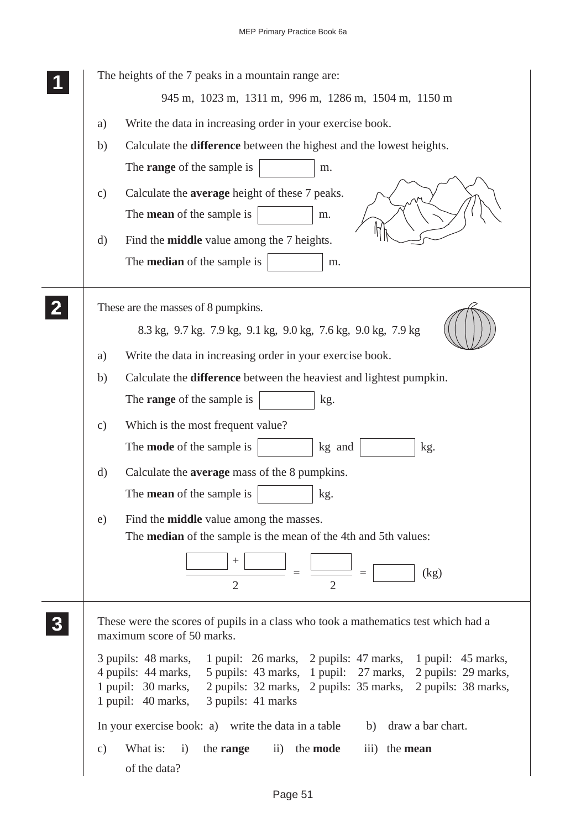| The heights of the 7 peaks in a mountain range are:                                                                                                                                                                                                                                              |
|--------------------------------------------------------------------------------------------------------------------------------------------------------------------------------------------------------------------------------------------------------------------------------------------------|
| 945 m, 1023 m, 1311 m, 996 m, 1286 m, 1504 m, 1150 m                                                                                                                                                                                                                                             |
| Write the data in increasing order in your exercise book.<br>a)                                                                                                                                                                                                                                  |
| Calculate the difference between the highest and the lowest heights.<br>b)                                                                                                                                                                                                                       |
| The <b>range</b> of the sample is<br>m.                                                                                                                                                                                                                                                          |
| Calculate the <b>average</b> height of these 7 peaks.<br>$\mathbf{c})$                                                                                                                                                                                                                           |
| The <b>mean</b> of the sample is<br>m.                                                                                                                                                                                                                                                           |
| Find the <b>middle</b> value among the 7 heights.<br>$\mathbf{d}$                                                                                                                                                                                                                                |
| The <b>median</b> of the sample is<br>m.                                                                                                                                                                                                                                                         |
| These are the masses of 8 pumpkins.                                                                                                                                                                                                                                                              |
| 8.3 kg, 9.7 kg. 7.9 kg, 9.1 kg, 9.0 kg, 7.6 kg, 9.0 kg, 7.9 kg                                                                                                                                                                                                                                   |
| Write the data in increasing order in your exercise book.<br>a)                                                                                                                                                                                                                                  |
| Calculate the difference between the heaviest and lightest pumpkin.<br>b)                                                                                                                                                                                                                        |
| The <b>range</b> of the sample is<br>kg.                                                                                                                                                                                                                                                         |
| Which is the most frequent value?<br>$\mathbf{c})$                                                                                                                                                                                                                                               |
| The <b>mode</b> of the sample is<br>kg and<br>kg.                                                                                                                                                                                                                                                |
| Calculate the <b>average</b> mass of the 8 pumpkins.<br>d)                                                                                                                                                                                                                                       |
| The <b>mean</b> of the sample is<br>kg.                                                                                                                                                                                                                                                          |
| Find the <b>middle</b> value among the masses.<br>e)                                                                                                                                                                                                                                             |
| The <b>median</b> of the sample is the mean of the 4th and 5th values:                                                                                                                                                                                                                           |
| (kg)<br>$\overline{2}$<br>$\overline{2}$                                                                                                                                                                                                                                                         |
| These were the scores of pupils in a class who took a mathematics test which had a<br>maximum score of 50 marks.                                                                                                                                                                                 |
| 3 pupils: 48 marks, 1 pupil: 26 marks, 2 pupils: 47 marks, 1 pupil: 45 marks,<br>4 pupils: 44 marks,<br>5 pupils: 43 marks, 1 pupil: 27 marks, 2 pupils: 29 marks,<br>1 pupil: 30 marks, 2 pupils: 32 marks, 2 pupils: 35 marks, 2 pupils: 38 marks,<br>3 pupils: 41 marks<br>1 pupil: 40 marks, |
| In your exercise book: a) write the data in a table b) draw a bar chart.                                                                                                                                                                                                                         |
| What is:<br>i)<br>$\ddot{\mathbf{i}}$<br>the <b>mode</b><br>the <b>range</b><br>iii) the <b>mean</b><br>$\mathbf{c})$<br>of the data?                                                                                                                                                            |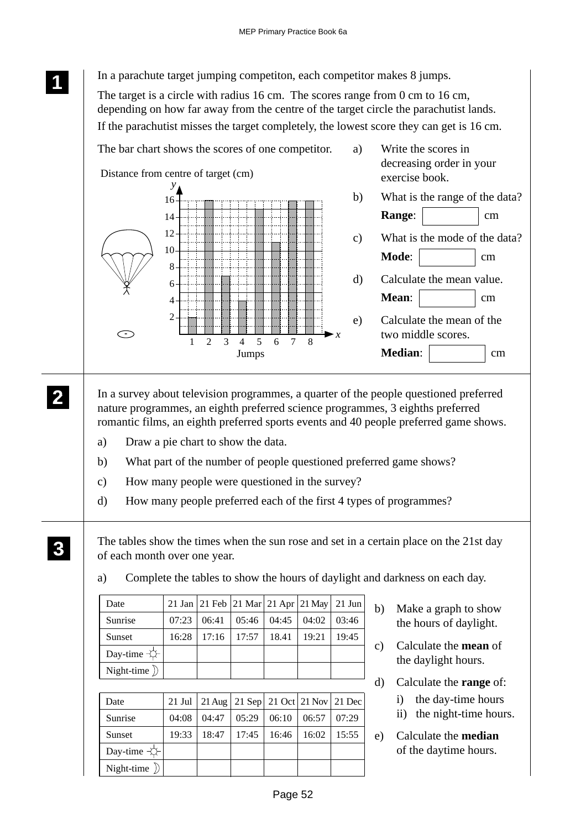**<sup>11</sup>** In a parachute target jumping competiton, each competitor makes 8 jumps.

The target is a circle with radius 16 cm. The scores range from 0 cm to 16 cm, depending on how far away from the centre of the target circle the parachutist lands. If the parachutist misses the target completely, the lowest score they can get is 16 cm.



In a survey about television programmes, a quarter of the people questioned preferred nature programmes, an eighth preferred science programmes, 3 eighths preferred romantic films, an eighth preferred sports events and 40 people preferred game shows.

- a) Draw a pie chart to show the data.
- b) What part of the number of people questioned preferred game shows?
- c) How many people were questioned in the survey?
- d) How many people preferred each of the first 4 types of programmes?

The tables show the times when the sun rose and set in a certain place on the 21st day of each month over one year.

| Date                    |       | 21 Jan 21 Feb 21 Mar 21 Apr 21 May 21 Jun |       |                       |       |
|-------------------------|-------|-------------------------------------------|-------|-----------------------|-------|
| Sunrise                 |       | $07:23 \cdot 06:41 \cdot 05:46$           |       | $04:45 \;   \; 04:02$ | 03:46 |
| Sunset                  | 16:28 | $\mid$ 17:16   17:57                      | 18.41 | 19:21                 | 19:45 |
| Day-time $\leftarrow$   |       |                                           |       |                       |       |
| Night-time $\mathbb{D}$ |       |                                           |       |                       |       |

a) Complete the tables to show the hours of daylight and darkness on each day.

|  | 21 Jul 21 Aug 21 Sep 21 Oct 21 Nov 21 Dec       |  |              |    |
|--|-------------------------------------------------|--|--------------|----|
|  | $04:08$   04:47   05:29   06:10   06:57   07:29 |  |              | ii |
|  | $19:33$   18:47   17:45   16:46   16:02   15:55 |  | $\epsilon$ ) | C  |
|  |                                                 |  |              | O. |

- b) Make a graph to show the hours of daylight.
- c) Calculate the **mean** of the daylight hours.
- alculate the **range** of:
	- the day-time hours
	- i) the night-time hours.

alculate the **median** f the daytime hours.

**1 11**

**2 22 22**

> Date Sunrise Sunset

Day-time  $\pm$ Night-time  $\sum$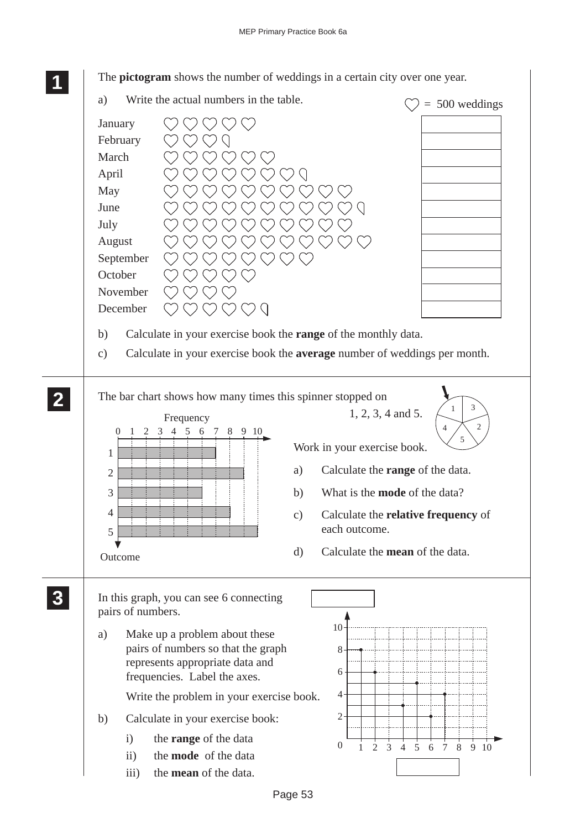The **pictogram** shows the number of weddings in a certain city over one year.

**1 11 11** a) Write the actual numbers in the table.  $\heartsuit$  = 500 weddings  $O O O O$ January February  $\bigcap$ March <u>V</u>  $\bigcirc$  $\bigcirc$  $\binom{1}{2}$ April  $\bigcap$ May June V C July August September **October** November December  $QQ$ b) Calculate in your exercise book the **range** of the monthly data. c) Calculate in your exercise book the **average** number of weddings per month. **2 22** The bar chart shows how many times this spinner stopped on **22** 3 1 1, 2, 3, 4 and 5. Frequency 2 4 100 123456789 5 Work in your exercise book. 1 a) Calculate the **range** of the data.  $\overline{2}$ 3 b) What is the **mode** of the data? 4 c) Calculate the **relative frequency** of each outcome. 5 d) Calculate the **mean** of the data. Outcome **3 33** In this graph, you can see 6 connecting **33 33** pairs of numbers.  $10$ a) Make up a problem about these pairs of numbers so that the graph 8 represents appropriate data and 6 frequencies. Label the axes. 4 Write the problem in your exercise book. 2 b) Calculate in your exercise book: i) the **range** of the data 0 1 2 3 4 5 6 7 8 9 10 ii) the **mode** of the data iii) the **mean** of the data.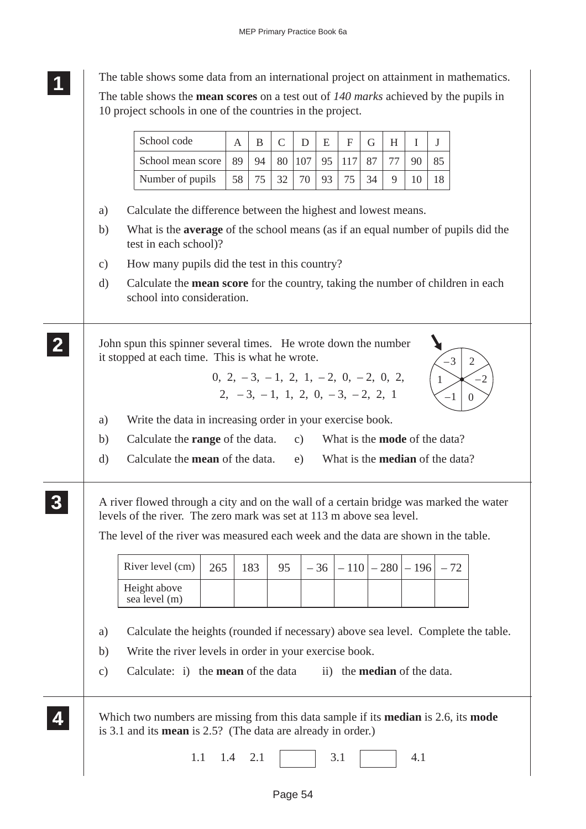The table shows some data from an international project on attainment in mathematics.

**1 11 11**

The table shows the **mean scores** on a test out of *140 marks* achieved by the pupils in 10 project schools in one of the countries in the project.

| a)<br>b)      | School mean score<br>Number of pupils                                                                                                                                                                                                                                      |                                                                              | B                                         | $\mathsf{C}$ | D   | E  | $\mathbf{F}$ | G  | H                                  | I  | J                                      |                        |
|---------------|----------------------------------------------------------------------------------------------------------------------------------------------------------------------------------------------------------------------------------------------------------------------------|------------------------------------------------------------------------------|-------------------------------------------|--------------|-----|----|--------------|----|------------------------------------|----|----------------------------------------|------------------------|
|               |                                                                                                                                                                                                                                                                            | 89                                                                           | 94                                        | 80           | 107 | 95 | 117          | 87 | 77                                 | 90 | 85                                     |                        |
|               |                                                                                                                                                                                                                                                                            | 58                                                                           | 75                                        | 32           | 70  | 93 | 75           | 34 | 9                                  | 10 | 18                                     |                        |
|               |                                                                                                                                                                                                                                                                            |                                                                              |                                           |              |     |    |              |    |                                    |    |                                        |                        |
|               | Calculate the difference between the highest and lowest means.                                                                                                                                                                                                             |                                                                              |                                           |              |     |    |              |    |                                    |    |                                        |                        |
|               | What is the <b>average</b> of the school means (as if an equal number of pupils did the<br>test in each school)?                                                                                                                                                           |                                                                              |                                           |              |     |    |              |    |                                    |    |                                        |                        |
| $\mathbf{c})$ | How many pupils did the test in this country?                                                                                                                                                                                                                              |                                                                              |                                           |              |     |    |              |    |                                    |    |                                        |                        |
| d)            | Calculate the <b>mean score</b> for the country, taking the number of children in each<br>school into consideration.                                                                                                                                                       |                                                                              |                                           |              |     |    |              |    |                                    |    |                                        |                        |
|               | John spun this spinner several times. He wrote down the number<br>it stopped at each time. This is what he wrote.                                                                                                                                                          | $0, 2, -3, -1, 2, 1, -2, 0, -2, 0, 2,$<br>$2, -3, -1, 1, 2, 0, -3, -2, 2, 1$ |                                           |              |     |    |              |    |                                    |    | $-3$<br>$\mathbf{1}$<br>$-1$           | $\overline{2}$<br>$-2$ |
|               |                                                                                                                                                                                                                                                                            |                                                                              |                                           |              |     |    |              |    |                                    |    |                                        | $\overline{0}$         |
| a)            | Write the data in increasing order in your exercise book.                                                                                                                                                                                                                  |                                                                              |                                           |              |     |    |              |    |                                    |    |                                        |                        |
| b)            | Calculate the <b>range</b> of the data.                                                                                                                                                                                                                                    |                                                                              |                                           |              | c)  |    |              |    |                                    |    | What is the <b>mode</b> of the data?   |                        |
| $\mathbf{d}$  | Calculate the <b>mean</b> of the data.                                                                                                                                                                                                                                     |                                                                              |                                           |              | e)  |    |              |    |                                    |    | What is the <b>median</b> of the data? |                        |
|               | A river flowed through a city and on the wall of a certain bridge was marked the water<br>levels of the river. The zero mark was set at 113 m above sea level.<br>The level of the river was measured each week and the data are shown in the table.<br>River level $(cm)$ | 265                                                                          | 183                                       | 95           |     | 36 | $-110$       |    |                                    |    | $-280$   $-196$   $-72$                |                        |
|               | Height above<br>sea level (m)                                                                                                                                                                                                                                              |                                                                              |                                           |              |     |    |              |    |                                    |    |                                        |                        |
|               | Calculate the heights (rounded if necessary) above sea level. Complete the table.                                                                                                                                                                                          |                                                                              |                                           |              |     |    |              |    |                                    |    |                                        |                        |
|               |                                                                                                                                                                                                                                                                            |                                                                              |                                           |              |     |    |              |    |                                    |    |                                        |                        |
|               | Write the river levels in order in your exercise book.                                                                                                                                                                                                                     |                                                                              | Calculate: i) the <b>mean</b> of the data |              |     |    |              |    | ii) the <b>median</b> of the data. |    |                                        |                        |
| a)<br>b)      |                                                                                                                                                                                                                                                                            |                                                                              |                                           |              |     |    |              |    |                                    |    |                                        |                        |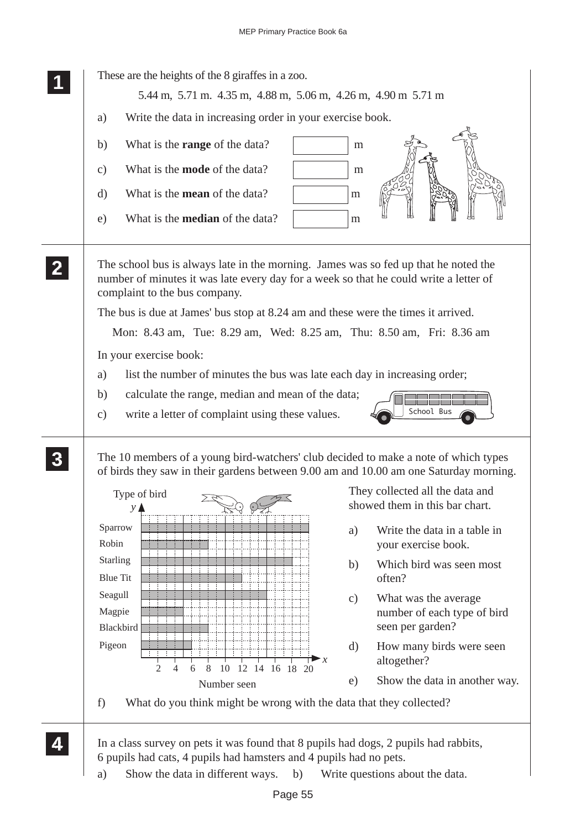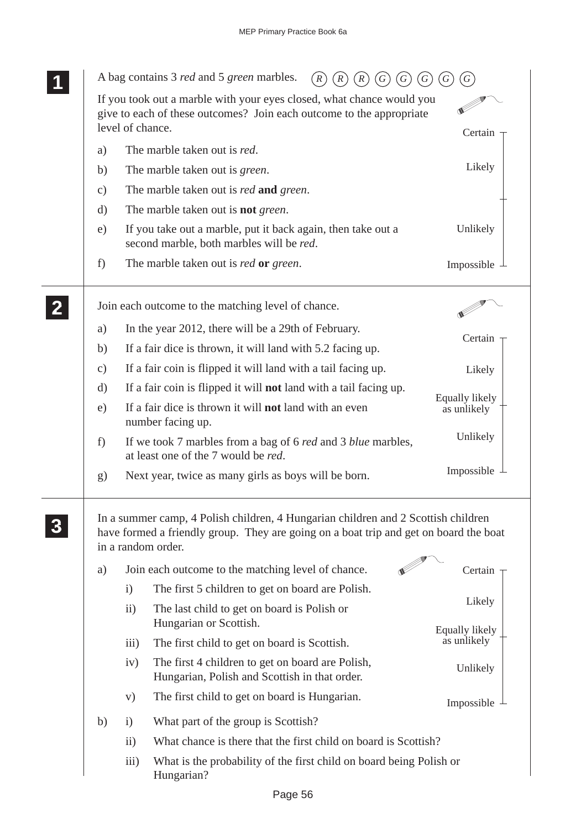|               | A bag contains 3 <i>red</i> and 5 <i>green</i> marbles.                                                                                                                                                                                                |                               |
|---------------|--------------------------------------------------------------------------------------------------------------------------------------------------------------------------------------------------------------------------------------------------------|-------------------------------|
|               | If you took out a marble with your eyes closed, what chance would you<br>give to each of these outcomes? Join each outcome to the appropriate<br>level of chance.                                                                                      | Certain                       |
| a)            | The marble taken out is red.                                                                                                                                                                                                                           |                               |
| b)            | The marble taken out is <i>green</i> .                                                                                                                                                                                                                 | Likely                        |
| $\mathbf{c})$ | The marble taken out is <i>red</i> and <i>green</i> .                                                                                                                                                                                                  |                               |
| $\rm d)$      | The marble taken out is <b>not</b> green.                                                                                                                                                                                                              |                               |
| e)            | If you take out a marble, put it back again, then take out a<br>second marble, both marbles will be red.                                                                                                                                               | Unlikely                      |
| f)            | The marble taken out is <i>red</i> or <i>green</i> .                                                                                                                                                                                                   | Impossible                    |
|               | Join each outcome to the matching level of chance.                                                                                                                                                                                                     |                               |
| a)            | In the year 2012, there will be a 29th of February.                                                                                                                                                                                                    |                               |
| b)            | If a fair dice is thrown, it will land with 5.2 facing up.                                                                                                                                                                                             | Certain                       |
| $\mathbf{c})$ | If a fair coin is flipped it will land with a tail facing up.                                                                                                                                                                                          | Likely                        |
| $\rm d)$      | If a fair coin is flipped it will not land with a tail facing up.                                                                                                                                                                                      |                               |
| e)            | If a fair dice is thrown it will <b>not</b> land with an even<br>number facing up.                                                                                                                                                                     | Equally likely<br>as unlikely |
| f)            | If we took 7 marbles from a bag of 6 <i>red</i> and 3 <i>blue</i> marbles,<br>at least one of the 7 would be red.                                                                                                                                      | Unlikely                      |
| g)            | Next year, twice as many girls as boys will be born.                                                                                                                                                                                                   | Impossible                    |
| a)            | In a summer camp, 4 Polish children, 4 Hungarian children and 2 Scottish children<br>have formed a friendly group. They are going on a boat trip and get on board the boat<br>in a random order.<br>Join each outcome to the matching level of chance. | Certain                       |
|               | The first 5 children to get on board are Polish.<br>$\mathbf{i}$<br>The last child to get on board is Polish or<br>$\rm ii)$                                                                                                                           | Likely                        |
|               | Hungarian or Scottish.                                                                                                                                                                                                                                 | Equally likely                |
|               | The first child to get on board is Scottish.<br>$\overline{iii}$                                                                                                                                                                                       | as unlikely                   |
|               | The first 4 children to get on board are Polish,<br>iv)<br>Hungarian, Polish and Scottish in that order.                                                                                                                                               | Unlikely                      |
|               | The first child to get on board is Hungarian.<br>V)                                                                                                                                                                                                    | Impossible                    |
| b)            | What part of the group is Scottish?<br>$\mathbf{i}$                                                                                                                                                                                                    |                               |
|               | What chance is there that the first child on board is Scottish?<br>$\rm ii)$                                                                                                                                                                           |                               |
|               | iii)<br>What is the probability of the first child on board being Polish or<br>Hungarian?                                                                                                                                                              |                               |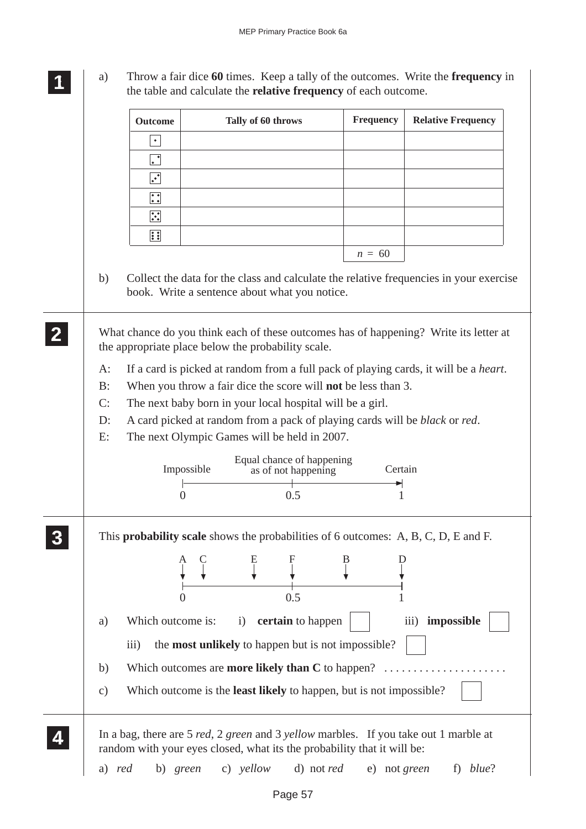**1 11 11** a) Throw a fair dice **60** times. Keep a tally of the outcomes. Write the **frequency** in the table and calculate the **relative frequency** of each outcome.

|               | <b>Outcome</b>                                                                 |            | Tally of 60 throws                                                         |                     | Frequency | <b>Relative Frequency</b>                                                                                    |
|---------------|--------------------------------------------------------------------------------|------------|----------------------------------------------------------------------------|---------------------|-----------|--------------------------------------------------------------------------------------------------------------|
|               | $\bullet$                                                                      |            |                                                                            |                     |           |                                                                                                              |
|               | $\bullet$                                                                      |            |                                                                            |                     |           |                                                                                                              |
|               | $\ddot{\cdot}$                                                                 |            |                                                                            |                     |           |                                                                                                              |
|               | $\begin{array}{ c } \hline \bullet & \bullet \\ \bullet & \bullet \end{array}$ |            |                                                                            |                     |           |                                                                                                              |
|               | $\ddot{\cdot}$                                                                 |            |                                                                            |                     |           |                                                                                                              |
|               | $\ddot{\cdot}$                                                                 |            |                                                                            |                     |           |                                                                                                              |
|               |                                                                                |            |                                                                            |                     | $n = 60$  |                                                                                                              |
| b)            |                                                                                |            |                                                                            |                     |           | Collect the data for the class and calculate the relative frequencies in your exercise                       |
|               |                                                                                |            | book. Write a sentence about what you notice.                              |                     |           |                                                                                                              |
|               |                                                                                |            |                                                                            |                     |           |                                                                                                              |
|               |                                                                                |            | the appropriate place below the probability scale.                         |                     |           | What chance do you think each of these outcomes has of happening? Write its letter at                        |
| $A$ :         |                                                                                |            |                                                                            |                     |           |                                                                                                              |
| B:            |                                                                                |            | When you throw a fair dice the score will <b>not</b> be less than 3.       |                     |           | If a card is picked at random from a full pack of playing cards, it will be a heart.                         |
| C:            |                                                                                |            | The next baby born in your local hospital will be a girl.                  |                     |           |                                                                                                              |
| $D$ :         |                                                                                |            |                                                                            |                     |           | A card picked at random from a pack of playing cards will be black or red.                                   |
|               |                                                                                |            |                                                                            |                     |           |                                                                                                              |
|               |                                                                                |            | The next Olympic Games will be held in 2007.                               |                     |           |                                                                                                              |
|               |                                                                                | Impossible | Equal chance of happening                                                  | as of not happening | Certain   |                                                                                                              |
| E:            | $\Omega$                                                                       |            |                                                                            | 0.5                 |           |                                                                                                              |
|               |                                                                                |            |                                                                            |                     |           |                                                                                                              |
|               |                                                                                |            |                                                                            |                     |           |                                                                                                              |
|               |                                                                                |            |                                                                            |                     |           |                                                                                                              |
|               | $\Omega$                                                                       |            |                                                                            | 0.5                 |           |                                                                                                              |
| a)            | Which outcome is:                                                              |            | $\mathbf{i}$                                                               | certain to happen   |           | This <b>probability scale</b> shows the probabilities of 6 outcomes: A, B, C, D, E and F.<br>iii) impossible |
|               | $\overline{iii}$ )                                                             |            | the <b>most unlikely</b> to happen but is not impossible?                  |                     |           |                                                                                                              |
| b)            |                                                                                |            | Which outcomes are <b>more likely than C</b> to happen? $\ldots$           |                     |           |                                                                                                              |
| $\mathbf{c})$ |                                                                                |            | Which outcome is the <b>least likely</b> to happen, but is not impossible? |                     |           |                                                                                                              |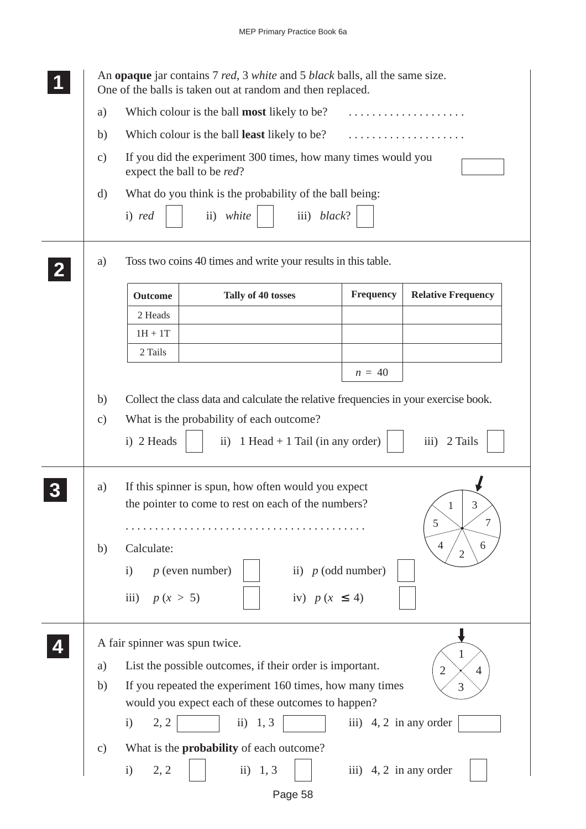|                 | An <b>opaque</b> jar contains 7 <i>red</i> , 3 <i>white</i> and 5 <i>black</i> balls, all the same size.<br>One of the balls is taken out at random and then replaced. |
|-----------------|------------------------------------------------------------------------------------------------------------------------------------------------------------------------|
| a)              | Which colour is the ball most likely to be?<br>.                                                                                                                       |
| b)              | Which colour is the ball least likely to be?                                                                                                                           |
| $\mathbf{c})$   | If you did the experiment 300 times, how many times would you<br>expect the ball to be red?                                                                            |
| d)              | What do you think is the probability of the ball being:                                                                                                                |
|                 | iii) black?<br>ii) white<br>i) red                                                                                                                                     |
| a)              | Toss two coins 40 times and write your results in this table.                                                                                                          |
|                 | Frequency<br><b>Relative Frequency</b><br>Tally of 40 tosses<br><b>Outcome</b>                                                                                         |
|                 | 2 Heads                                                                                                                                                                |
|                 | $1H + 1T$                                                                                                                                                              |
|                 | 2 Tails                                                                                                                                                                |
|                 | $n = 40$                                                                                                                                                               |
| b)              | Collect the class data and calculate the relative frequencies in your exercise book.                                                                                   |
| $\mathbf{c})$   | What is the probability of each outcome?                                                                                                                               |
|                 | i) 2 Heads<br>$\overline{iii}$ )<br>2 Tails<br>ii) $1$ Head + $1$ Tail (in any order)                                                                                  |
| a)              | If this spinner is spun, how often would you expect<br>the pointer to come to rest on each of the numbers?<br>3<br>1<br>5<br>7                                         |
| b)              | $\overline{4}$<br>6<br>Calculate:                                                                                                                                      |
|                 | $\overline{2}$<br>ii) $p$ (odd number)<br>$p$ (even number)<br>$\mathbf{i}$                                                                                            |
|                 |                                                                                                                                                                        |
|                 | iii) $p(x > 5)$<br>iv) $p(x \leq 4)$                                                                                                                                   |
|                 | A fair spinner was spun twice.                                                                                                                                         |
| a)              | List the possible outcomes, if their order is important.<br>$\overline{2}$<br>4                                                                                        |
| b)              | If you repeated the experiment 160 times, how many times<br>3                                                                                                          |
|                 | would you expect each of these outcomes to happen?                                                                                                                     |
|                 | 2, 2<br>$\frac{1}{1}$ ii) 1, 3<br>iii) $4, 2$ in any order<br>i)                                                                                                       |
| $\mathcal{C}$ ) | What is the <b>probability</b> of each outcome?                                                                                                                        |
|                 | ii) $1, 3$<br>iii) 4, 2 in any order<br>2, 2<br>i)                                                                                                                     |
|                 | Page 58                                                                                                                                                                |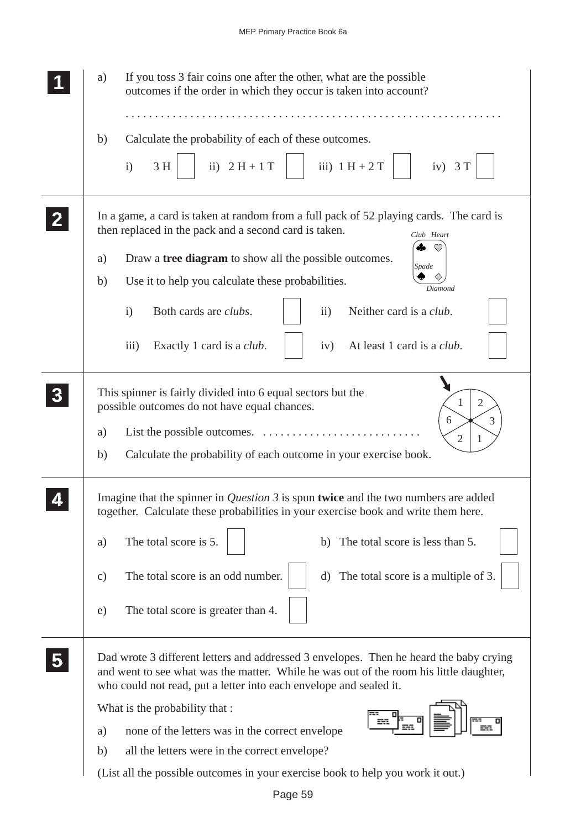| If you toss 3 fair coins one after the other, what are the possible<br>a)<br>outcomes if the order in which they occur is taken into account?                                                                                                                                                                       |
|---------------------------------------------------------------------------------------------------------------------------------------------------------------------------------------------------------------------------------------------------------------------------------------------------------------------|
| Calculate the probability of each of these outcomes.<br>b)<br>ii) $2H + 1T$<br>iii) $1 H + 2 T$<br>$\mathbf{i}$<br>3 H<br>iv) $3T$                                                                                                                                                                                  |
| In a game, a card is taken at random from a full pack of 52 playing cards. The card is<br>then replaced in the pack and a second card is taken.<br>Club Heart<br>4.                                                                                                                                                 |
| Draw a tree diagram to show all the possible outcomes.<br>a)<br>Spade                                                                                                                                                                                                                                               |
| Use it to help you calculate these probabilities.<br>b)                                                                                                                                                                                                                                                             |
| Diamond<br>Both cards are <i>clubs</i> .<br>Neither card is a <i>club</i> .<br>$\mathbf{i}$<br>$\ddot{\mathbf{i}}$                                                                                                                                                                                                  |
| iii)<br>Exactly 1 card is a <i>club</i> .<br>At least 1 card is a <i>club</i> .<br>iv)                                                                                                                                                                                                                              |
| This spinner is fairly divided into 6 equal sectors but the<br>$\overline{2}$<br>1<br>possible outcomes do not have equal chances.<br>6<br>3<br>List the possible outcomes. $\dots \dots \dots \dots \dots \dots$<br>a)<br>$\overline{2}$<br>Calculate the probability of each outcome in your exercise book.<br>b) |
| Imagine that the spinner in <i>Question 3</i> is spun twice and the two numbers are added<br>together. Calculate these probabilities in your exercise book and write them here.                                                                                                                                     |
| The total score is 5.<br>The total score is less than 5.<br>a)<br>b)                                                                                                                                                                                                                                                |
| The total score is an odd number.<br>The total score is a multiple of 3.<br>$\mathbf{c})$<br>d)                                                                                                                                                                                                                     |
| The total score is greater than 4.<br>e)                                                                                                                                                                                                                                                                            |
| Dad wrote 3 different letters and addressed 3 envelopes. Then he heard the baby crying<br>and went to see what was the matter. While he was out of the room his little daughter,<br>who could not read, put a letter into each envelope and sealed it.                                                              |
| What is the probability that :                                                                                                                                                                                                                                                                                      |
| 譶<br>none of the letters was in the correct envelope<br>a)                                                                                                                                                                                                                                                          |
| all the letters were in the correct envelope?<br>b)                                                                                                                                                                                                                                                                 |
| (List all the possible outcomes in your exercise book to help you work it out.)                                                                                                                                                                                                                                     |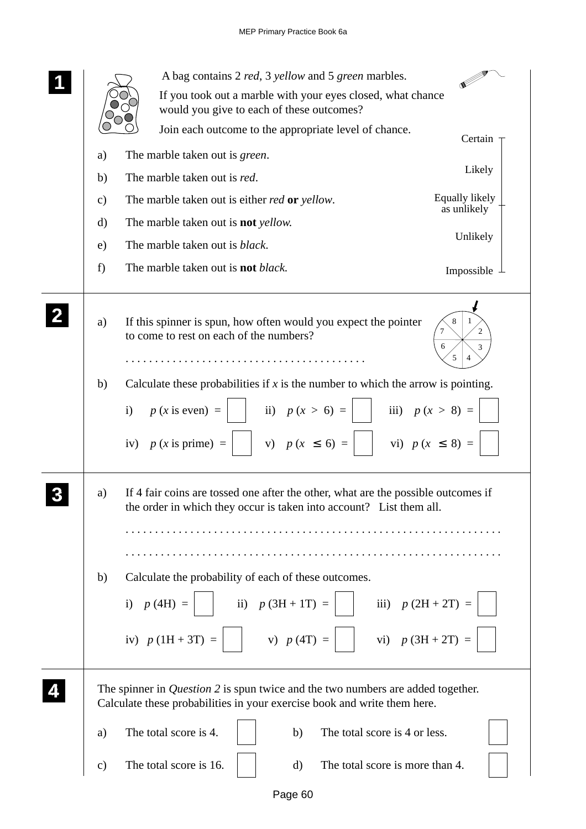|               | A bag contains 2 red, 3 yellow and 5 green marbles.                                                                                                                |
|---------------|--------------------------------------------------------------------------------------------------------------------------------------------------------------------|
|               | If you took out a marble with your eyes closed, what chance<br>would you give to each of these outcomes?                                                           |
|               | Join each outcome to the appropriate level of chance.<br>Certain -                                                                                                 |
| a)            | The marble taken out is <i>green</i> .                                                                                                                             |
| b)            | Likely<br>The marble taken out is red.                                                                                                                             |
| $\mathbf{c})$ | Equally likely<br>The marble taken out is either <i>red</i> or <i>yellow</i> .<br>as unlikely                                                                      |
| d)            | The marble taken out is <b>not</b> yellow.<br>Unlikely                                                                                                             |
| e)            | The marble taken out is <i>black</i> .                                                                                                                             |
| f)            | The marble taken out is <b>not</b> black.<br>Impossible $\perp$                                                                                                    |
|               |                                                                                                                                                                    |
| a)            | If this spinner is spun, how often would you expect the pointer<br>8<br>2<br>to come to rest on each of the numbers?<br>6<br>3<br>5                                |
| b)            | Calculate these probabilities if $x$ is the number to which the arrow is pointing.                                                                                 |
|               | ii) $p(x > 6) =$<br>iii) $p(x > 8) =$<br>$p(x \text{ is even}) =$<br>$\mathbf{i}$<br>vi) $p(x \le 8) =$<br>  v) $p(x \leq 6) =$<br>iv) $p(x \text{ is prime}) =$   |
| a)            | If 4 fair coins are tossed one after the other, what are the possible outcomes if<br>the order in which they occur is taken into account? List them all.           |
|               |                                                                                                                                                                    |
| b)            | Calculate the probability of each of these outcomes.                                                                                                               |
|               | i) $p(4H) =$<br>ii) $p(3H + 1T) =$<br>iii) $p(2H + 2T) =$                                                                                                          |
|               | v) $p(4T) =$<br>vi) $p(3H + 2T) =$<br>iv) $p(1H + 3T) =$                                                                                                           |
|               | The spinner in <i>Question</i> 2 is spun twice and the two numbers are added together.<br>Calculate these probabilities in your exercise book and write them here. |
| a)            | The total score is 4.<br>The total score is 4 or less.<br>b)                                                                                                       |
| $\mathbf{c})$ | The total score is 16.<br>The total score is more than 4.<br>d)                                                                                                    |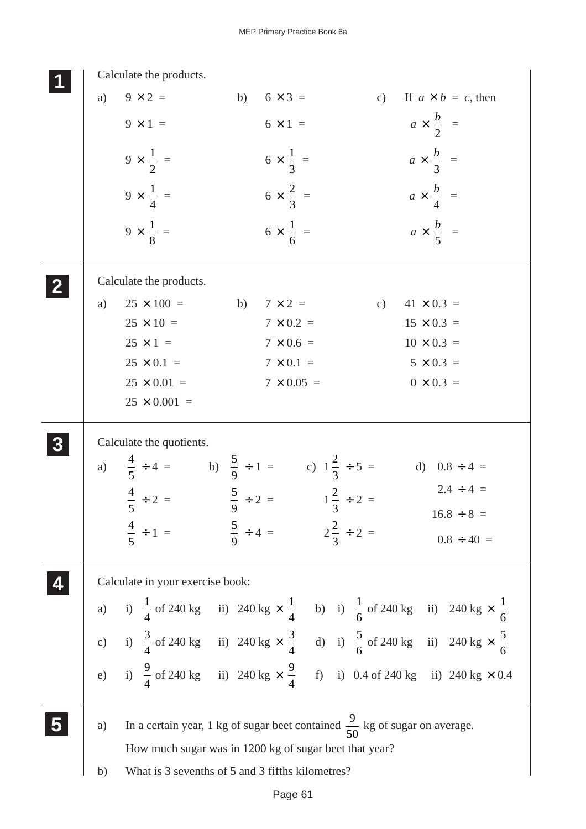|    | Calculate the products.                                                                                                         |                                              |    |                                   |
|----|---------------------------------------------------------------------------------------------------------------------------------|----------------------------------------------|----|-----------------------------------|
| a) | $9 \times 2 =$                                                                                                                  | $6 \times 3 =$<br>b)                         | c) | If $a \times b = c$ , then        |
|    | $9 \times 1 =$                                                                                                                  | $6 \times 1 =$                               |    | $a \times \frac{b}{2}$ =          |
|    | $9 \times \frac{1}{2}$ =                                                                                                        | $6 \times \frac{1}{3}$ =                     |    | $a \times \frac{b}{3}$ =          |
|    | $9 \times \frac{1}{4}$ =                                                                                                        | $6 \times \frac{2}{3}$ =                     |    | $a \times \frac{b}{4}$ =          |
|    | $9 \times \frac{1}{8}$ =                                                                                                        | $6 \times \frac{1}{6}$ =                     |    | $a \times \frac{b}{5}$ =          |
|    | Calculate the products.                                                                                                         |                                              |    |                                   |
| a) | $25 \times 100 =$ b) $7 \times 2 =$                                                                                             |                                              | c) | $41 \times 0.3 =$                 |
|    | $25 \times 10 =$                                                                                                                | $7 \times 0.2 =$                             |    | $15 \times 0.3 =$                 |
|    | $25 \times 1 =$                                                                                                                 | $7 \times 0.6 =$                             |    | $10 \times 0.3 =$                 |
|    | $25 \times 0.1 =$                                                                                                               | $7 \times 0.1 =$                             |    | $5 \times 0.3 =$                  |
|    | $25 \times 0.01 =$                                                                                                              | $7 \times 0.05 =$                            |    | $0 \times 0.3 =$                  |
|    | $25 \times 0.001 =$                                                                                                             |                                              |    |                                   |
|    | Calculate the quotients.                                                                                                        |                                              |    |                                   |
|    | a) $\frac{4}{5} \div 4 =$ b) $\frac{5}{9} \div 1 =$ c) $1\frac{2}{3} \div 5 =$                                                  |                                              |    | d) $0.8 \div 4 =$                 |
|    | $\frac{4}{-} \div 2 =$                                                                                                          | $\frac{5}{9} \div 2 = 1\frac{2}{3} \div 2 =$ |    | $2.4 \div 4 =$<br>$16.8 \div 8 =$ |
|    | $\frac{4}{5} \div 1 =$ $\frac{5}{9} \div 4 =$ $2\frac{2}{3} \div 2 =$                                                           |                                              |    |                                   |
|    |                                                                                                                                 |                                              |    | $0.8 \div 40 =$                   |
|    | Calculate in your exercise book:                                                                                                |                                              |    |                                   |
|    | a) i) $\frac{1}{4}$ of 240 kg ii) 240 kg $\times$ $\frac{1}{4}$ b) i) $\frac{1}{6}$ of 240 kg ii) 240 kg $\times$ $\frac{1}{6}$ |                                              |    |                                   |
|    | c) i) $\frac{3}{4}$ of 240 kg ii) 240 kg $\times$ $\frac{3}{4}$ d) i) $\frac{5}{6}$ of 240 kg ii) 240 kg $\times$ $\frac{5}{6}$ |                                              |    |                                   |
|    | e) i) $\frac{9}{4}$ of 240 kg ii) 240 kg $\times$ $\frac{9}{4}$ f) i) 0.4 of 240 kg ii) 240 kg $\times$ 0.4                     |                                              |    |                                   |
| a) | In a certain year, 1 kg of sugar beet contained $\frac{9}{50}$ kg of sugar on average.                                          |                                              |    |                                   |
|    | How much sugar was in 1200 kg of sugar beet that year?                                                                          |                                              |    |                                   |
| b) | What is 3 sevenths of 5 and 3 fifths kilometres?                                                                                |                                              |    |                                   |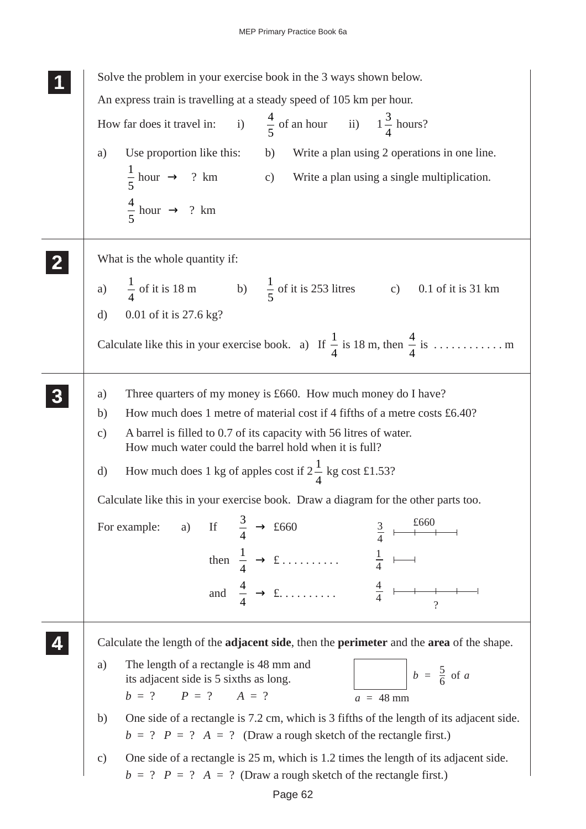| Solve the problem in your exercise book in the 3 ways shown below.                                                                                                               |
|----------------------------------------------------------------------------------------------------------------------------------------------------------------------------------|
| An express train is travelling at a steady speed of 105 km per hour.                                                                                                             |
| How far does it travel in: i) $\frac{4}{5}$ of an hour ii) $1\frac{3}{4}$ hours?                                                                                                 |
| Use proportion like this: b) Write a plan using 2 operations in one line.<br>a)                                                                                                  |
| $\frac{1}{5}$ hour $\rightarrow$ ? km c) Write a plan using a single multiplication.                                                                                             |
| $rac{4}{5}$ hour $\rightarrow$ ? km                                                                                                                                              |
| What is the whole quantity if:                                                                                                                                                   |
| a) $\frac{1}{4}$ of it is 18 m b) $\frac{1}{5}$ of it is 253 litres c) 0.1 of it is 31 km                                                                                        |
| 0.01 of it is 27.6 kg?<br>$\mathbf{d}$                                                                                                                                           |
|                                                                                                                                                                                  |
| Three quarters of my money is £660. How much money do I have?<br>a)                                                                                                              |
| How much does 1 metre of material cost if 4 fifths of a metre costs £6.40?<br>b)                                                                                                 |
| A barrel is filled to 0.7 of its capacity with 56 litres of water.<br>$\mathcal{C}$ )<br>How much water could the barrel hold when it is full?                                   |
| How much does 1 kg of apples cost if $2\frac{1}{4}$ kg cost £1.53?<br>$\mathbf{d}$                                                                                               |
| Calculate like this in your exercise book. Draw a diagram for the other parts too.                                                                                               |
| For example: a) If $\frac{3}{4} \rightarrow \text{\pounds}660$<br>£660<br>$rac{3}{4}$                                                                                            |
| then $\frac{1}{4} \rightarrow \text{\textsterling} \ldots \ldots \ldots \quad \frac{1}{4} \quad \longmapsto$                                                                     |
| and $\frac{4}{4} \rightarrow \text{\pounds}.$ $\frac{4}{4}$<br>$\gamma$                                                                                                          |
| Calculate the length of the adjacent side, then the perimeter and the area of the shape.                                                                                         |
| The length of a rectangle is 48 mm and<br>a)<br>$b = \frac{5}{6}$ of a<br>its adjacent side is 5 sixths as long.<br>$P = ?$ $A = ?$<br>$b = ?$<br>$a = 48$ mm                    |
| One side of a rectangle is 7.2 cm, which is 3 fifths of the length of its adjacent side.<br>b)                                                                                   |
| $b = ?$ $P = ?$ $A = ?$ (Draw a rough sketch of the rectangle first.)                                                                                                            |
| One side of a rectangle is 25 m, which is 1.2 times the length of its adjacent side.<br>$\mathcal{C}$ )<br>$b = ?$ $P = ?$ $A = ?$ (Draw a rough sketch of the rectangle first.) |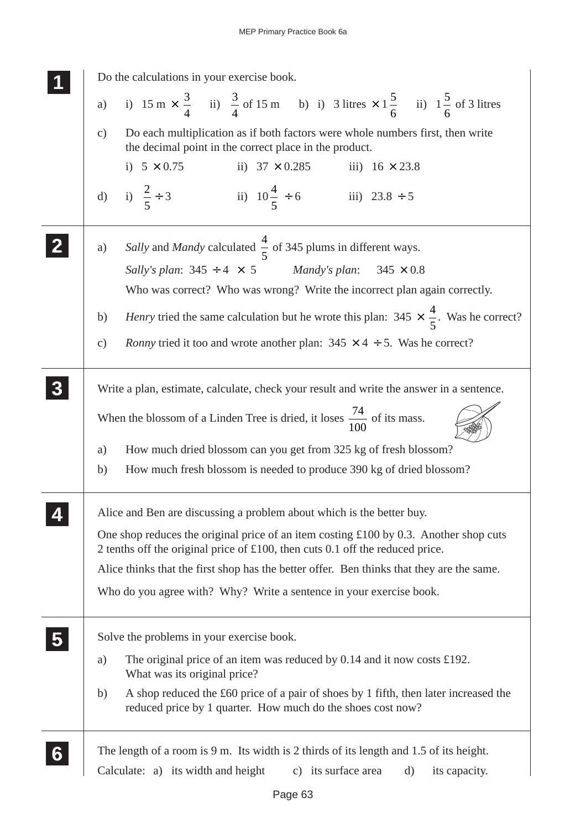| Do the calculations in your exercise book.                                                                                                                                  |
|-----------------------------------------------------------------------------------------------------------------------------------------------------------------------------|
| a) i) $15 \text{ m} \times \frac{3}{4}$ ii) $\frac{3}{4}$ of 15 m b) i) 3 litres $\times 1\frac{5}{6}$ ii) $1\frac{5}{6}$ of 3 litres                                       |
| Do each multiplication as if both factors were whole numbers first, then write<br>$\mathbf{c})$<br>the decimal point in the correct place in the product.                   |
| i) $5 \times 0.75$<br>ii) $37 \times 0.285$ iii) $16 \times 23.8$                                                                                                           |
| d) i) $\frac{2}{5} \div 3$<br>ii) $10\frac{4}{5} \div 6$<br>iii) $23.8 \div 5$                                                                                              |
| Sally and Mandy calculated $\frac{4}{5}$ of 345 plums in different ways.<br>a)<br>Sally's plan: $345 \div 4 \times 5$ Mandy's plan: $345 \times 0.8$                        |
| Who was correct? Who was wrong? Write the incorrect plan again correctly.                                                                                                   |
| <i>Henry</i> tried the same calculation but he wrote this plan: $345 \times \frac{4}{5}$ . Was he correct?<br>b)                                                            |
| <i>Ronny</i> tried it too and wrote another plan: $345 \times 4 \div 5$ . Was he correct?<br>$\mathbf{c})$                                                                  |
| Write a plan, estimate, calculate, check your result and write the answer in a sentence.                                                                                    |
| When the blossom of a Linden Tree is dried, it loses $\frac{74}{100}$ of its mass.                                                                                          |
| How much dried blossom can you get from 325 kg of fresh blossom?<br>a)                                                                                                      |
| How much fresh blossom is needed to produce 390 kg of dried blossom?<br>b)                                                                                                  |
| Alice and Ben are discussing a problem about which is the better buy.                                                                                                       |
| One shop reduces the original price of an item costing £100 by 0.3. Another shop cuts<br>2 tenths off the original price of £100, then cuts 0.1 off the reduced price.      |
| Alice thinks that the first shop has the better offer. Ben thinks that they are the same.                                                                                   |
| Who do you agree with? Why? Write a sentence in your exercise book.                                                                                                         |
| Solve the problems in your exercise book.                                                                                                                                   |
| The original price of an item was reduced by $0.14$ and it now costs £192.<br>a)<br>What was its original price?                                                            |
| A shop reduced the £60 price of a pair of shoes by 1 fifth, then later increased the<br>b)<br>reduced price by 1 quarter. How much do the shoes cost now?                   |
| The length of a room is 9 m. Its width is 2 thirds of its length and 1.5 of its height.<br>Calculate: a) its width and height<br>c) its surface area<br>d)<br>its capacity. |
|                                                                                                                                                                             |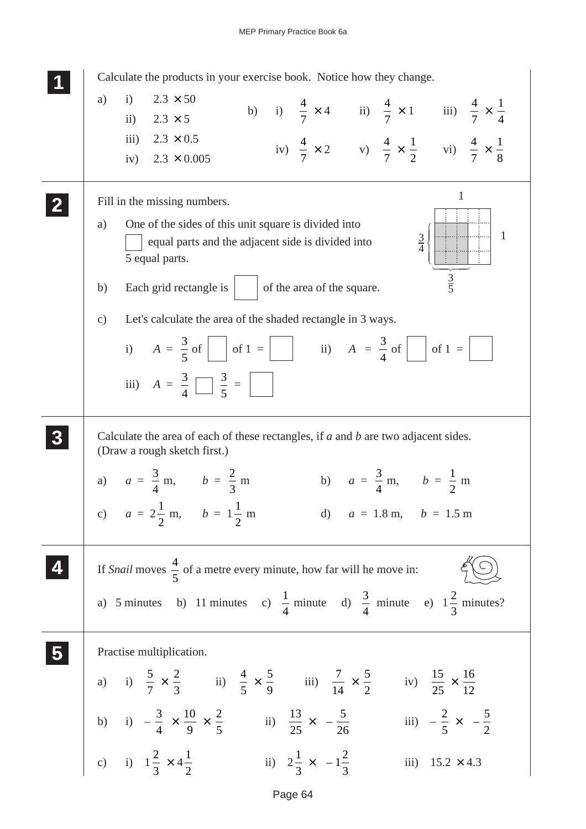## MEP Primary Practice Book 6a



Page 64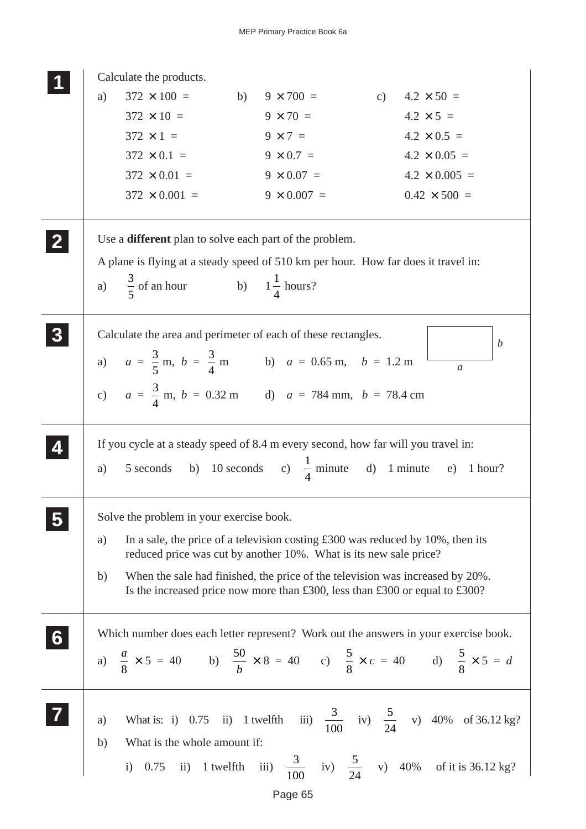|   |    | Calculate the products.                                                                 |                    |                                                                                                                             |
|---|----|-----------------------------------------------------------------------------------------|--------------------|-----------------------------------------------------------------------------------------------------------------------------|
|   | a) | $372 \times 100 =$ b) $9 \times 700 =$ c) $4.2 \times 50 =$                             |                    |                                                                                                                             |
|   |    | $372 \times 10 =$                                                                       | $9 \times 70 =$    | $4.2 \times 5 =$                                                                                                            |
|   |    | $372 \times 1 =$                                                                        | $9 \times 7 =$     | $4.2 \times 0.5 =$                                                                                                          |
|   |    | $372 \times 0.1 =$                                                                      | $9 \times 0.7 =$   | $4.2 \times 0.05 =$                                                                                                         |
|   |    | $372 \times 0.01 =$                                                                     | $9 \times 0.07 =$  | $4.2 \times 0.005 =$                                                                                                        |
|   |    | $372 \times 0.001 =$                                                                    | $9 \times 0.007 =$ | $0.42 \times 500 =$                                                                                                         |
|   |    | Use a <b>different</b> plan to solve each part of the problem.                          |                    |                                                                                                                             |
|   |    | A plane is flying at a steady speed of 510 km per hour. How far does it travel in:      |                    |                                                                                                                             |
|   |    | a) $\frac{3}{5}$ of an hour b) $1\frac{1}{4}$ hours?                                    |                    |                                                                                                                             |
|   |    | Calculate the area and perimeter of each of these rectangles.                           |                    | $\boldsymbol{b}$                                                                                                            |
|   |    | a) $a = \frac{3}{5}$ m, $b = \frac{3}{4}$ m b) $a = 0.65$ m, $b = 1.2$ m                |                    |                                                                                                                             |
|   |    |                                                                                         |                    | $\mathfrak{a}$                                                                                                              |
|   |    | c) $a = \frac{3}{4}$ m, $b = 0.32$ m d) $a = 784$ mm, $b = 78.4$ cm                     |                    |                                                                                                                             |
|   |    | If you cycle at a steady speed of 8.4 m every second, how far will you travel in:       |                    |                                                                                                                             |
|   | a) | 5 seconds b) 10 seconds c) $\frac{1}{4}$ minute d) 1 minute e) 1 hour?                  |                    |                                                                                                                             |
|   |    | Solve the problem in your exercise book.                                                |                    |                                                                                                                             |
|   | a) | In a sale, the price of a television costing $\pounds 300$ was reduced by 10%, then its |                    |                                                                                                                             |
|   |    | reduced price was cut by another 10%. What is its new sale price?                       |                    |                                                                                                                             |
|   | b) | When the sale had finished, the price of the television was increased by 20%.           |                    |                                                                                                                             |
|   |    | Is the increased price now more than £300, less than £300 or equal to £300?             |                    |                                                                                                                             |
| 6 |    |                                                                                         |                    | Which number does each letter represent? Work out the answers in your exercise book.                                        |
|   |    |                                                                                         |                    | a) $\frac{a}{8} \times 5 = 40$ b) $\frac{50}{b} \times 8 = 40$ c) $\frac{5}{8} \times c = 40$ d) $\frac{5}{8} \times 5 = d$ |
|   |    |                                                                                         |                    |                                                                                                                             |
|   |    |                                                                                         |                    |                                                                                                                             |
|   | a) |                                                                                         |                    | What is: i) 0.75 ii) 1 twelfth iii) $\frac{3}{100}$ iv) $\frac{5}{24}$ v) 40% of 36.12 kg?                                  |
|   | b) | What is the whole amount if:                                                            |                    |                                                                                                                             |
|   |    |                                                                                         |                    | i) 0.75 ii) 1 twelfth iii) $\frac{3}{100}$ iv) $\frac{5}{24}$ v) 40% of it is 36.12 kg?                                     |
|   |    |                                                                                         |                    |                                                                                                                             |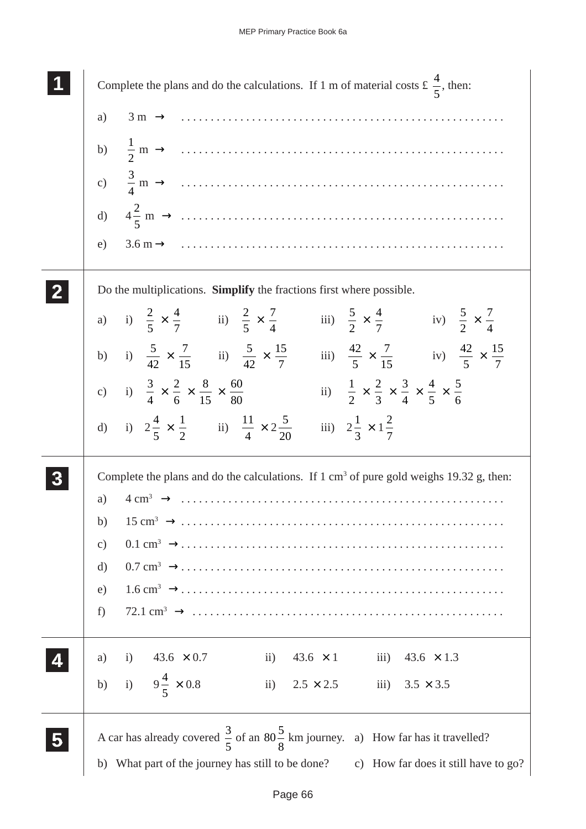| Complete the plans and do the calculations. If 1 m of material costs £ $\frac{4}{5}$ , then:                                                                                     |
|----------------------------------------------------------------------------------------------------------------------------------------------------------------------------------|
| $3 \text{ m} \rightarrow \dots \dots \dots \dots \dots \dots \dots \dots \dots \dots \dots \dots \dots \dots \dots \dots$<br>a)                                                  |
|                                                                                                                                                                                  |
|                                                                                                                                                                                  |
|                                                                                                                                                                                  |
| e)                                                                                                                                                                               |
| Do the multiplications. Simplify the fractions first where possible.                                                                                                             |
| a) i) $\frac{2}{5} \times \frac{4}{7}$ ii) $\frac{2}{5} \times \frac{7}{4}$ iii) $\frac{5}{2} \times \frac{4}{7}$ iv) $\frac{5}{2} \times \frac{7}{4}$                           |
| b) i) $\frac{5}{42} \times \frac{7}{15}$ ii) $\frac{5}{42} \times \frac{15}{7}$ iii) $\frac{42}{5} \times \frac{7}{15}$ iv) $\frac{42}{5} \times \frac{15}{7}$                   |
| c) i) $\frac{3}{4} \times \frac{2}{6} \times \frac{8}{15} \times \frac{60}{80}$<br>ii) $\frac{1}{2} \times \frac{2}{3} \times \frac{3}{4} \times \frac{4}{5} \times \frac{5}{6}$ |
| d) i) $2\frac{4}{5} \times \frac{1}{2}$ ii) $\frac{11}{4} \times 2\frac{5}{20}$<br>iii) $2\frac{1}{3} \times 1\frac{2}{7}$                                                       |
| Complete the plans and do the calculations. If $1 \text{ cm}^3$ of pure gold weighs 19.32 g, then:                                                                               |
| a)                                                                                                                                                                               |
| b)                                                                                                                                                                               |
| $\mathbf{c})$                                                                                                                                                                    |
| d)                                                                                                                                                                               |
| e)                                                                                                                                                                               |
| f)                                                                                                                                                                               |
| ii) $43.6 \times 1$ iii) $43.6 \times 1.3$<br>i)<br>$43.6 \times 0.7$<br>a)                                                                                                      |
| b) i) $9\frac{4}{5} \times 0.8$<br>ii) $2.5 \times 2.5$<br>iii) $3.5 \times 3.5$                                                                                                 |
| A car has already covered $\frac{3}{5}$ of an $80\frac{5}{8}$ km journey. a) How far has it travelled?                                                                           |
| b) What part of the journey has still to be done? c) How far does it still have to go?                                                                                           |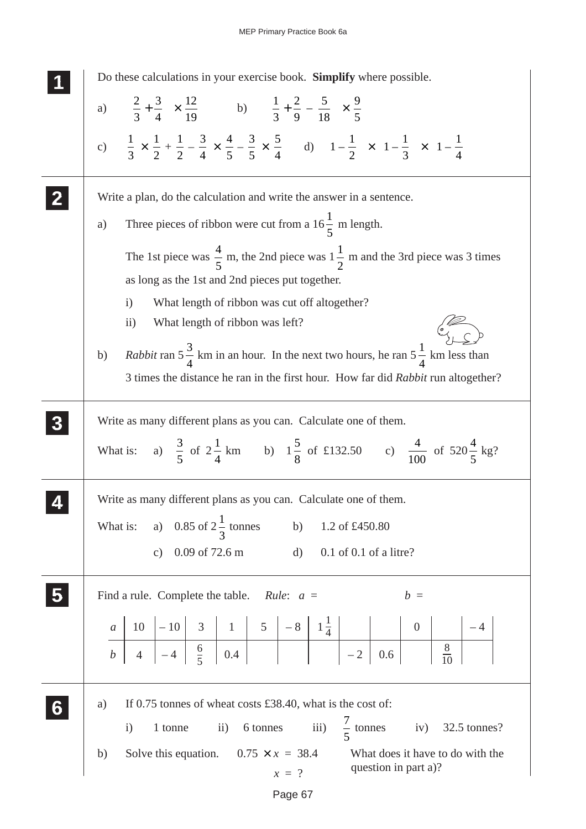MEP Primary Practice Book 6a

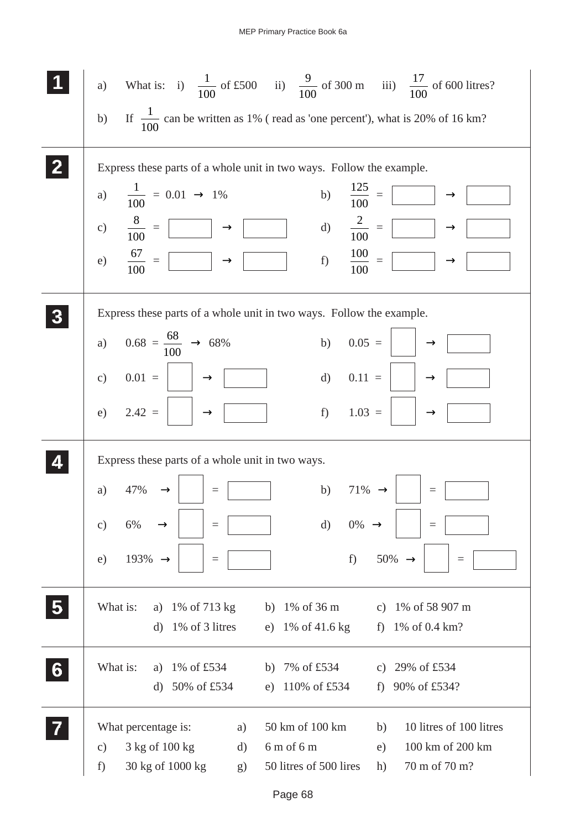|                         |                     |                                                                                        |                |              |                        |                    |                    | a) What is: i) $\frac{1}{100}$ of £500 ii) $\frac{9}{100}$ of 300 m iii) $\frac{17}{100}$ of 600 litres? |
|-------------------------|---------------------|----------------------------------------------------------------------------------------|----------------|--------------|------------------------|--------------------|--------------------|----------------------------------------------------------------------------------------------------------|
|                         |                     |                                                                                        |                |              |                        |                    |                    | b) If $\frac{1}{100}$ can be written as 1% (read as 'one percent'), what is 20% of 16 km?                |
|                         |                     | Express these parts of a whole unit in two ways. Follow the example.                   |                |              |                        |                    |                    |                                                                                                          |
|                         |                     | a) $\frac{1}{100} = 0.01 \rightarrow 1\%$                                              |                |              |                        |                    |                    | b) $\frac{125}{100} =$<br>$\rightarrow$                                                                  |
|                         |                     | c) $\frac{8}{100} = \boxed{)} \rightarrow \boxed{}$ d) $\frac{2}{100} = \boxed{)}$     |                |              |                        |                    |                    | $\rightarrow$                                                                                            |
|                         |                     | e) $\frac{67}{100} = \boxed{ } \rightarrow \boxed{ }$ f) $\frac{100}{100} = \boxed{ }$ |                |              |                        |                    |                    | $\rightarrow$                                                                                            |
|                         |                     | Express these parts of a whole unit in two ways. Follow the example.                   |                |              |                        |                    |                    |                                                                                                          |
|                         |                     | a) $0.68 = \frac{68}{100} \rightarrow 68\%$                                            |                |              | b)                     | $0.05 =$           |                    | $\rightarrow$                                                                                            |
|                         | c)                  | $0.01 =$ $\rightarrow$                                                                 |                |              | d)                     | $0.11 =$           |                    | $\longrightarrow$                                                                                        |
|                         |                     | e) $2.42 =  $                                                                          | $\rightarrow$  |              |                        | f) $1.03 =$        |                    | $\rightarrow$                                                                                            |
|                         |                     | Express these parts of a whole unit in two ways.                                       |                |              |                        |                    |                    |                                                                                                          |
|                         | a)                  | 47%                                                                                    | $\equiv$       |              | b)                     | $71\% \rightarrow$ |                    | $\equiv$                                                                                                 |
|                         | c)                  | 6%                                                                                     | $\equiv$       |              | $\mathbf{d}$           | 0%                 | $\rightarrow$      | $\equiv$                                                                                                 |
|                         | e)                  | 193%<br>$\rightarrow$                                                                  | $\equiv$       |              |                        | f)                 | $50\% \rightarrow$ | $\equiv$                                                                                                 |
| $\overline{\mathbf{5}}$ | What is:            | a)                                                                                     | 1% of 713 kg   | b)           | 1% of 36 m             |                    |                    | c) $1\% \text{ of } 58\,907 \text{ m}$                                                                   |
|                         |                     | $\mathbf{d}$                                                                           | 1% of 3 litres | e)           | 1% of 41.6 kg          |                    | f                  | 1% of 0.4 km?                                                                                            |
| 6                       | What is:            | a)                                                                                     | 1% of £534     |              | b) $7\%$ of £534       |                    |                    | c) $29\% \text{ of } \pounds 534$                                                                        |
|                         |                     | $\rm d$                                                                                | 50% of £534    | e)           | 110% of £534           |                    | f)                 | 90% of £534?                                                                                             |
|                         |                     | What percentage is:                                                                    | a)             |              | 50 km of 100 km        |                    | b)                 | 10 litres of 100 litres                                                                                  |
|                         | $\mathbf{c})$<br>f) | 3 kg of 100 kg<br>30 kg of 1000 kg                                                     | d)             | $6m$ of $6m$ | 50 litres of 500 lires |                    | e)<br>h)           | 100 km of 200 km<br>70 m of 70 m?                                                                        |
|                         |                     |                                                                                        | g)             |              |                        |                    |                    |                                                                                                          |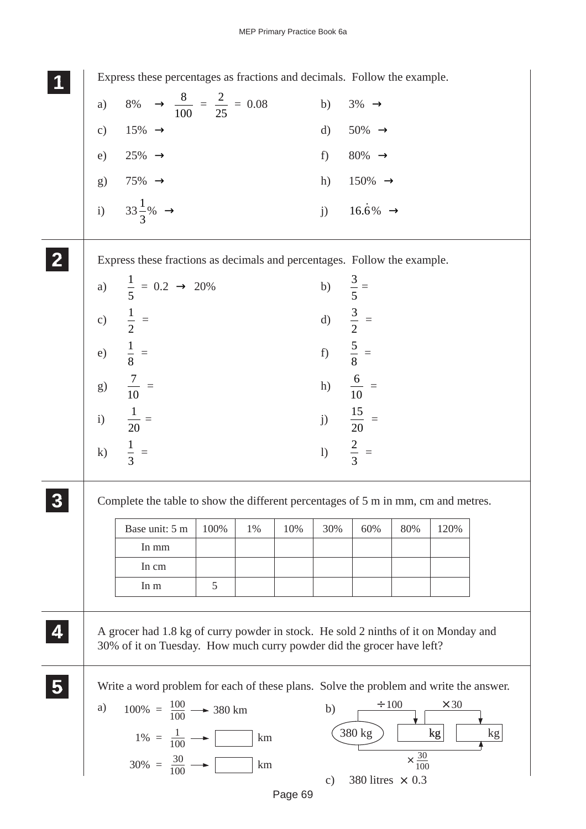Express these percentages as fractions and decimals. Follow the example. a) 8%  $\rightarrow \frac{8}{10}$ 100  $=\frac{2}{25} = 0.08$  b) 3%  $\rightarrow$ c)  $15\% \rightarrow$  d)  $50\% \rightarrow$ e)  $25\% \rightarrow$  f)  $80\% \rightarrow$ g)  $75\% \rightarrow$  h)  $150\% \rightarrow$ i)  $33\frac{1}{2}$ 3  $j)$  16.6%  $\rightarrow$ Express these fractions as decimals and percentages. Follow the example. a)  $\frac{1}{7}$ 5  $= 0.2 \rightarrow 20\%$  b)  $\frac{3}{5}$ 5 = c)  $\frac{1}{2}$ 2  $=$  d)  $\frac{3}{2}$ 2 = e)  $\frac{1}{6}$ 8  $=$  f)  $\frac{5}{2}$ 8 = g)  $\frac{7}{10}$  =  $\frac{7}{10}$  = h)  $\frac{6}{10}$  = i)  $\frac{1}{20}$  =  $\frac{1}{20} =$  j)  $\frac{15}{20}$  = k)  $\frac{1}{2}$ 3  $=$  1)  $\frac{2}{3}$ 3 = Complete the table to show the different percentages of 5 m in mm, cm and metres. A grocer had 1.8 kg of curry powder in stock. He sold 2 ninths of it on Monday and 30% of it on Tuesday. How much curry powder did the grocer have left? Write a word problem for each of these plans. Solve the problem and write the answer. **1 11 11 2 22 22 3 33 33 33** Base unit: 5 m In mm In cm In m 100% | 1% | 10% | 30% | 60% | 80% | 120% 5 **5 55 55** b) 380 kg  $\vert$  kg kg kg  $\div 100 \times 30$  $\times \frac{30}{100}$ 100 a)  $100\% = \frac{100}{100} \rightarrow 380 \text{ km}$  $1\% = \frac{1}{100} \longrightarrow \boxed{\qquad}$  km  $30\% = \frac{30}{100} \longrightarrow \boxed{\phantom{0}}$  km **4 44 44**

c) 380 litres  $\times$  0.3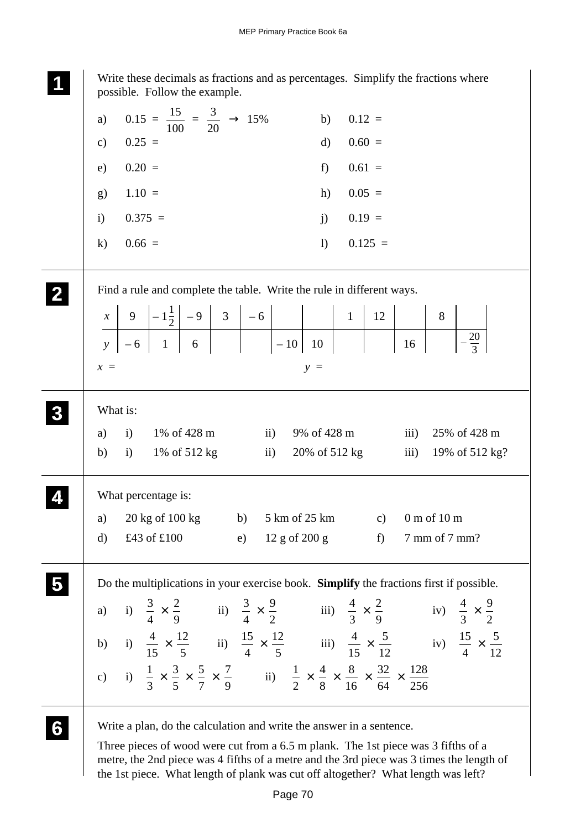| Write these decimals as fractions and as percentages. Simplify the fractions where<br>possible. Follow the example.                                                                                                                                   |
|-------------------------------------------------------------------------------------------------------------------------------------------------------------------------------------------------------------------------------------------------------|
| $0.15 = \frac{15}{100} = \frac{3}{20} \rightarrow 15\%$<br>a)<br>b)<br>$0.12 =$                                                                                                                                                                       |
| $0.25 =$<br>$0.60 =$<br>$\mathbf{d}$<br>$\mathbf{c})$                                                                                                                                                                                                 |
| $0.61 =$<br>$0.20 =$<br>f<br>e)                                                                                                                                                                                                                       |
| $0.05 =$<br>$1.10 =$<br>h)<br>g)                                                                                                                                                                                                                      |
| $0.375 =$<br>$0.19 =$<br>i)<br>$j$ )                                                                                                                                                                                                                  |
| $0.66 =$<br>$\overline{1}$<br>$0.125 =$<br>$\bf k)$                                                                                                                                                                                                   |
| Find a rule and complete the table. Write the rule in different ways.                                                                                                                                                                                 |
| 8                                                                                                                                                                                                                                                     |
| $\begin{array}{ c c c c c c c c } \hline x & 9 & -1\frac{1}{2} & -9 & 3 & -6 & & & 1 & 12 \\ \hline y & -6 & 1 & 6 & & & -10 & 10 & & \ \hline \end{array}$<br>$\frac{20}{3}$<br>16                                                                   |
| $x =$<br>$y =$                                                                                                                                                                                                                                        |
| What is:                                                                                                                                                                                                                                              |
| 1% of 428 m<br>9% of 428 m<br>25% of 428 m<br>a)<br>$\mathbf{i}$<br>$\mathbf{ii}$<br>$\overline{111}$                                                                                                                                                 |
| 20% of 512 kg<br>$\overline{\text{iii}}$<br>19% of 512 kg?<br>b)<br>$\mathbf{i}$<br>1% of 512 kg<br>$\mathbf{ii}$                                                                                                                                     |
| What percentage is:                                                                                                                                                                                                                                   |
| $20 \text{ kg of } 100 \text{ kg}$<br>5 km of 25 km<br>0 m of 10 m<br>b)<br>$\mathbf{c})$<br>a)                                                                                                                                                       |
| £43 of £100<br>7 mm of 7 mm?<br>$12 g$ of $200 g$<br>f<br>d)<br>e)                                                                                                                                                                                    |
| Do the multiplications in your exercise book. Simplify the fractions first if possible.                                                                                                                                                               |
| a) i) $\frac{3}{4} \times \frac{2}{9}$ ii) $\frac{3}{4} \times \frac{9}{2}$ iii) $\frac{4}{3} \times \frac{2}{9}$ iv) $\frac{4}{3} \times \frac{9}{2}$                                                                                                |
| b) i) $\frac{4}{15} \times \frac{12}{5}$ ii) $\frac{15}{4} \times \frac{12}{5}$ iii) $\frac{4}{15} \times \frac{5}{12}$ iv) $\frac{15}{4} \times \frac{5}{12}$                                                                                        |
| c) i) $\frac{1}{3} \times \frac{3}{5} \times \frac{5}{7} \times \frac{7}{9}$ ii) $\frac{1}{2} \times \frac{4}{8} \times \frac{8}{16} \times \frac{32}{64} \times \frac{128}{256}$                                                                     |
| Write a plan, do the calculation and write the answer in a sentence.<br>Three pieces of wood were cut from a 6.5 m plank. The 1st piece was 3 fifths of a<br>metre, the 2nd piece was 4 fifths of a metre and the 3rd piece was 3 times the length of |

Page 70

the 1st piece. What length of plank was cut off altogether? What length was left?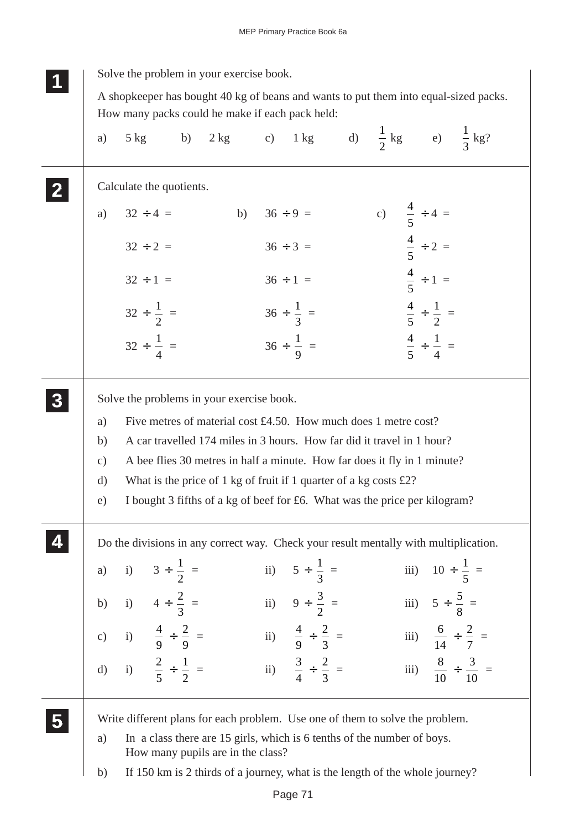| Calculate the quotients.<br>c) $\frac{4}{5} \div 4 =$<br>b) $36 \div 9 =$<br>$32 \div 4 =$<br>a)<br>$\frac{4}{5} \div 2 =$<br>$32 \div 2 =$<br>$36 \div 3 =$<br>$\frac{4}{5} \div 1 =$<br>$32 \div 1 =$<br>$36 \div 1 =$<br>$rac{4}{5} \div \frac{1}{2}$ =<br>$32 \div \frac{1}{2}$ =<br>$36 \div \frac{1}{3}$ =<br>$32 \div \frac{1}{4}$ =<br>$rac{4}{5} \div \frac{1}{4}$ =<br>$36 \div \frac{1}{9}$ =<br>Solve the problems in your exercise book.<br>Five metres of material cost £4.50. How much does 1 metre cost?<br>a)<br>A car travelled 174 miles in 3 hours. How far did it travel in 1 hour?<br>b)<br>A bee flies 30 metres in half a minute. How far does it fly in 1 minute?<br>$\mathbf{c})$<br>What is the price of 1 kg of fruit if 1 quarter of a kg costs $£2$ ?<br>d)<br>I bought 3 fifths of a kg of beef for £6. What was the price per kilogram?<br>e)<br>Do the divisions in any correct way. Check your result mentally with multiplication.<br>a) i) $3 \div \frac{1}{2} =$<br>ii) $5 \div \frac{1}{3} =$<br>iii) $10 \div \frac{1}{5} =$<br>ii) $9 \div \frac{3}{2} =$<br>b) i) $4 \div \frac{2}{3} =$<br>iii) $5 \div \frac{5}{8} =$<br>c) i) $\frac{4}{9} \div \frac{2}{9} =$<br>ii) $\frac{4}{9} \div \frac{2}{3} =$<br>iii) $\frac{6}{14} \div \frac{2}{7} =$<br>d) i) $\frac{2}{5} \div \frac{1}{2} =$<br>iii) $\frac{8}{10} \div \frac{3}{10} =$<br>ii) $\frac{3}{4} \div \frac{2}{3} =$ | a) | $5 \text{ kg}$                                                                | b) |  |  | 2 kg c) 1 kg d) $\frac{1}{2}$ kg e) $\frac{1}{3}$ kg? |  |
|---------------------------------------------------------------------------------------------------------------------------------------------------------------------------------------------------------------------------------------------------------------------------------------------------------------------------------------------------------------------------------------------------------------------------------------------------------------------------------------------------------------------------------------------------------------------------------------------------------------------------------------------------------------------------------------------------------------------------------------------------------------------------------------------------------------------------------------------------------------------------------------------------------------------------------------------------------------------------------------------------------------------------------------------------------------------------------------------------------------------------------------------------------------------------------------------------------------------------------------------------------------------------------------------------------------------------------------------------------------------------------------------------------------------------|----|-------------------------------------------------------------------------------|----|--|--|-------------------------------------------------------|--|
|                                                                                                                                                                                                                                                                                                                                                                                                                                                                                                                                                                                                                                                                                                                                                                                                                                                                                                                                                                                                                                                                                                                                                                                                                                                                                                                                                                                                                           |    |                                                                               |    |  |  |                                                       |  |
|                                                                                                                                                                                                                                                                                                                                                                                                                                                                                                                                                                                                                                                                                                                                                                                                                                                                                                                                                                                                                                                                                                                                                                                                                                                                                                                                                                                                                           |    |                                                                               |    |  |  |                                                       |  |
|                                                                                                                                                                                                                                                                                                                                                                                                                                                                                                                                                                                                                                                                                                                                                                                                                                                                                                                                                                                                                                                                                                                                                                                                                                                                                                                                                                                                                           |    |                                                                               |    |  |  |                                                       |  |
|                                                                                                                                                                                                                                                                                                                                                                                                                                                                                                                                                                                                                                                                                                                                                                                                                                                                                                                                                                                                                                                                                                                                                                                                                                                                                                                                                                                                                           |    |                                                                               |    |  |  |                                                       |  |
|                                                                                                                                                                                                                                                                                                                                                                                                                                                                                                                                                                                                                                                                                                                                                                                                                                                                                                                                                                                                                                                                                                                                                                                                                                                                                                                                                                                                                           |    |                                                                               |    |  |  |                                                       |  |
|                                                                                                                                                                                                                                                                                                                                                                                                                                                                                                                                                                                                                                                                                                                                                                                                                                                                                                                                                                                                                                                                                                                                                                                                                                                                                                                                                                                                                           |    |                                                                               |    |  |  |                                                       |  |
|                                                                                                                                                                                                                                                                                                                                                                                                                                                                                                                                                                                                                                                                                                                                                                                                                                                                                                                                                                                                                                                                                                                                                                                                                                                                                                                                                                                                                           |    |                                                                               |    |  |  |                                                       |  |
|                                                                                                                                                                                                                                                                                                                                                                                                                                                                                                                                                                                                                                                                                                                                                                                                                                                                                                                                                                                                                                                                                                                                                                                                                                                                                                                                                                                                                           |    |                                                                               |    |  |  |                                                       |  |
|                                                                                                                                                                                                                                                                                                                                                                                                                                                                                                                                                                                                                                                                                                                                                                                                                                                                                                                                                                                                                                                                                                                                                                                                                                                                                                                                                                                                                           |    |                                                                               |    |  |  |                                                       |  |
|                                                                                                                                                                                                                                                                                                                                                                                                                                                                                                                                                                                                                                                                                                                                                                                                                                                                                                                                                                                                                                                                                                                                                                                                                                                                                                                                                                                                                           |    |                                                                               |    |  |  |                                                       |  |
|                                                                                                                                                                                                                                                                                                                                                                                                                                                                                                                                                                                                                                                                                                                                                                                                                                                                                                                                                                                                                                                                                                                                                                                                                                                                                                                                                                                                                           |    |                                                                               |    |  |  |                                                       |  |
|                                                                                                                                                                                                                                                                                                                                                                                                                                                                                                                                                                                                                                                                                                                                                                                                                                                                                                                                                                                                                                                                                                                                                                                                                                                                                                                                                                                                                           |    |                                                                               |    |  |  |                                                       |  |
|                                                                                                                                                                                                                                                                                                                                                                                                                                                                                                                                                                                                                                                                                                                                                                                                                                                                                                                                                                                                                                                                                                                                                                                                                                                                                                                                                                                                                           |    | Write different plans for each problem. Use one of them to solve the problem. |    |  |  |                                                       |  |
| In a class there are 15 girls, which is 6 tenths of the number of boys.<br>a)<br>How many pupils are in the class?                                                                                                                                                                                                                                                                                                                                                                                                                                                                                                                                                                                                                                                                                                                                                                                                                                                                                                                                                                                                                                                                                                                                                                                                                                                                                                        |    |                                                                               |    |  |  |                                                       |  |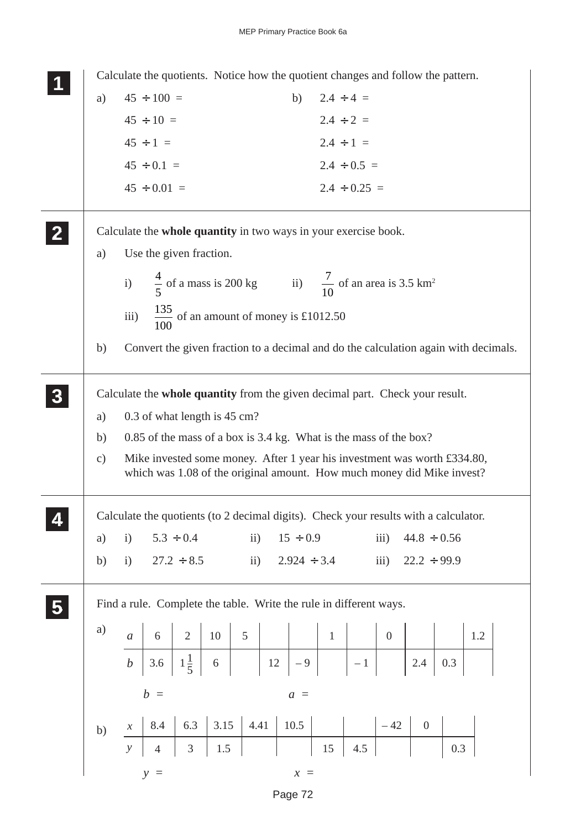|               |                            |                  |                                                                 |      |               |      |                  |                |                   | Calculate the quotients. Notice how the quotient changes and follow the pattern.                                                                   |                  |     |     |  |
|---------------|----------------------------|------------------|-----------------------------------------------------------------|------|---------------|------|------------------|----------------|-------------------|----------------------------------------------------------------------------------------------------------------------------------------------------|------------------|-----|-----|--|
| a)            |                            | $45 \div 100 =$  |                                                                 |      |               |      | b)               | $2.4 \div 4 =$ |                   |                                                                                                                                                    |                  |     |     |  |
|               |                            | $45 \div 10 =$   |                                                                 |      |               |      |                  | $2.4 \div 2 =$ |                   |                                                                                                                                                    |                  |     |     |  |
|               |                            | $45 \div 1 =$    |                                                                 |      |               |      |                  | $2.4 \div 1 =$ |                   |                                                                                                                                                    |                  |     |     |  |
|               |                            | $45 \div 0.1 =$  |                                                                 |      |               |      |                  |                | $2.4 \div 0.5 =$  |                                                                                                                                                    |                  |     |     |  |
|               |                            | $45 \div 0.01 =$ |                                                                 |      |               |      |                  |                | $2.4 \div 0.25 =$ |                                                                                                                                                    |                  |     |     |  |
|               |                            |                  | Calculate the whole quantity in two ways in your exercise book. |      |               |      |                  |                |                   |                                                                                                                                                    |                  |     |     |  |
| a)            |                            |                  | Use the given fraction.                                         |      |               |      |                  |                |                   |                                                                                                                                                    |                  |     |     |  |
|               |                            |                  |                                                                 |      |               |      |                  |                |                   | i) $\frac{4}{5}$ of a mass is 200 kg ii) $\frac{7}{10}$ of an area is 3.5 km <sup>2</sup>                                                          |                  |     |     |  |
|               | iii)                       |                  | $\frac{135}{100}$ of an amount of money is £1012.50             |      |               |      |                  |                |                   |                                                                                                                                                    |                  |     |     |  |
| b)            |                            |                  |                                                                 |      |               |      |                  |                |                   | Convert the given fraction to a decimal and do the calculation again with decimals.                                                                |                  |     |     |  |
|               |                            |                  |                                                                 |      |               |      |                  |                |                   | Calculate the whole quantity from the given decimal part. Check your result.                                                                       |                  |     |     |  |
| a)            |                            |                  | 0.3 of what length is 45 cm?                                    |      |               |      |                  |                |                   |                                                                                                                                                    |                  |     |     |  |
| b)            |                            |                  |                                                                 |      |               |      |                  |                |                   | 0.85 of the mass of a box is 3.4 kg. What is the mass of the box?                                                                                  |                  |     |     |  |
| $\mathbf{c})$ |                            |                  |                                                                 |      |               |      |                  |                |                   | Mike invested some money. After 1 year his investment was worth £334.80,<br>which was 1.08 of the original amount. How much money did Mike invest? |                  |     |     |  |
|               |                            |                  |                                                                 |      |               |      |                  |                |                   | Calculate the quotients (to 2 decimal digits). Check your results with a calculator.                                                               |                  |     |     |  |
| a)            | $\mathbf{i}$               |                  | $5.3 \div 0.4$                                                  |      | $\mathbf{ii}$ |      | $15 \div 0.9$    |                |                   | iii)                                                                                                                                               | $44.8 \div 0.56$ |     |     |  |
| b)            | i)                         |                  | $27.2 \div 8.5$                                                 |      | $\ddot{i}$ )  |      | $2.924 \div 3.4$ |                |                   | iii)                                                                                                                                               | $22.2 \div 99.9$ |     |     |  |
|               |                            |                  |                                                                 |      |               |      |                  |                |                   | Find a rule. Complete the table. Write the rule in different ways.                                                                                 |                  |     |     |  |
| a)            |                            |                  |                                                                 |      |               |      |                  |                |                   |                                                                                                                                                    |                  |     | 1.2 |  |
|               |                            |                  |                                                                 |      |               |      |                  |                |                   |                                                                                                                                                    |                  | 0.3 |     |  |
|               |                            | $b =$            |                                                                 |      |               |      | $a =$            |                |                   |                                                                                                                                                    |                  |     |     |  |
| b)            | $\boldsymbol{\mathcal{X}}$ | 8.4              | 6.3                                                             | 3.15 |               | 4.41 | 10.5             |                |                   | $-42$                                                                                                                                              | $0 \rightarrow$  |     |     |  |
|               | $\mathbf{y}$               | $\overline{4}$   | $\overline{3}$                                                  | 1.5  |               |      |                  | 15             | 4.5               |                                                                                                                                                    |                  | 0.3 |     |  |
|               |                            | $y =$            |                                                                 |      |               |      | $x =$            |                |                   |                                                                                                                                                    |                  |     |     |  |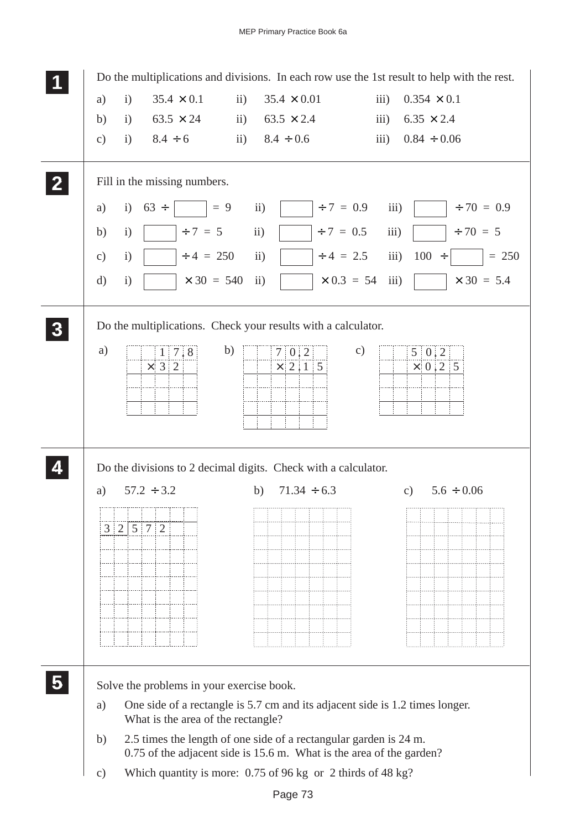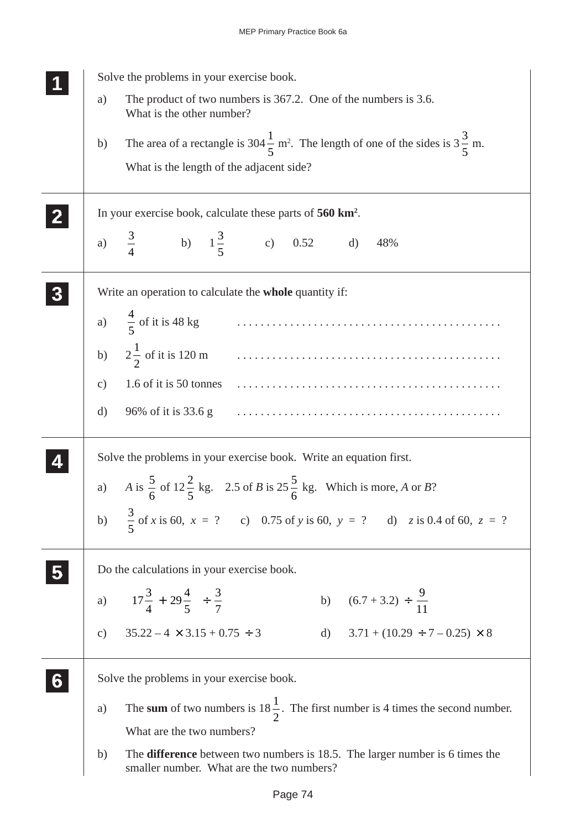| Solve the problems in your exercise book.                                                                                       |
|---------------------------------------------------------------------------------------------------------------------------------|
| The product of two numbers is 367.2. One of the numbers is 3.6.<br>a)<br>What is the other number?                              |
| The area of a rectangle is 304 $\frac{1}{5}$ m <sup>2</sup> . The length of one of the sides is $3\frac{3}{5}$ m.<br>b)         |
| What is the length of the adjacent side?                                                                                        |
| In your exercise book, calculate these parts of 560 km <sup>2</sup> .                                                           |
| a) $\frac{3}{4}$ b) $1\frac{3}{5}$ c) 0.52 d)<br>48%                                                                            |
| Write an operation to calculate the whole quantity if:                                                                          |
| a) $\frac{4}{5}$ of it is 48 kg $\ldots$ $\ldots$ $\ldots$ $\ldots$ $\ldots$ $\ldots$                                           |
|                                                                                                                                 |
| 1.6 of it is 50 tonnes<br>$\mathbf{c})$                                                                                         |
| 96% of it is 33.6 g<br>d)                                                                                                       |
| Solve the problems in your exercise book. Write an equation first.                                                              |
| a) A is $\frac{5}{6}$ of $12\frac{2}{5}$ kg. 2.5 of B is $25\frac{5}{6}$ kg. Which is more, A or B?                             |
| b) $\frac{3}{5}$ of x is 60, x = ? c) 0.75 of y is 60, y = ? d) z is 0.4 of 60, z = ?                                           |
| Do the calculations in your exercise book.                                                                                      |
| a) $\left(17\frac{3}{4} + 29\frac{4}{5}\right) \div \frac{3}{7}$<br>b) $(6.7 + 3.2) \div \frac{9}{11}$                          |
| $35.22 - 4 \times 3.15 + 0.75 \div 3$<br>d) $3.71 + (10.29 \div 7 - 0.25) \times 8$<br>$\mathcal{C}$ )                          |
| Solve the problems in your exercise book.                                                                                       |
| The sum of two numbers is $18\frac{1}{2}$ . The first number is 4 times the second number.<br>a)                                |
| What are the two numbers?                                                                                                       |
| The difference between two numbers is 18.5. The larger number is 6 times the<br>b)<br>smaller number. What are the two numbers? |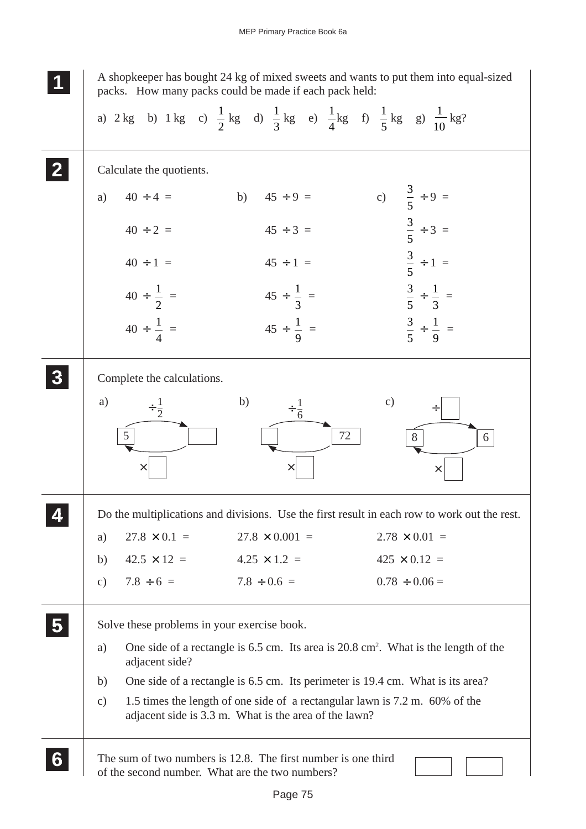**1 11**

**<sup>11</sup>** A shopkeeper has bought 24 kg of mixed sweets and wants to put them into equal-sized packs. How many packs could be made if each pack held:

|                                 | a) 2 kg b) 1 kg c) $\frac{1}{2}$ kg d) $\frac{1}{3}$ kg e) $\frac{1}{4}$ kg f) $\frac{1}{5}$ kg g) $\frac{1}{10}$ kg?                |                                                                                              |
|---------------------------------|--------------------------------------------------------------------------------------------------------------------------------------|----------------------------------------------------------------------------------------------|
| Calculate the quotients.        |                                                                                                                                      |                                                                                              |
| $40 \div 4 =$<br>a)             | b) $45 \div 9 =$                                                                                                                     | c) $\frac{3}{5} \div 9 =$                                                                    |
| $40 \div 2 =$                   | $45 \div 3 =$                                                                                                                        | $\frac{3}{5} \div 3 =$                                                                       |
| $40 \div 1 =$                   | $45 \div 1 =$                                                                                                                        | $\frac{3}{5} \div 1 =$                                                                       |
| $40 \div \frac{1}{2}$ =         | $45 \div \frac{1}{3}$ =                                                                                                              | $rac{3}{5} \div \frac{1}{3} =$                                                               |
| $40 \div \frac{1}{4}$ =         | $45 \div \frac{1}{9}$ =                                                                                                              | $rac{3}{5} \div \frac{1}{9} =$                                                               |
| Complete the calculations.      |                                                                                                                                      |                                                                                              |
| a)<br>$\div \frac{1}{2}$        | b)<br>$\div \frac{1}{6}$                                                                                                             | $\mathbf{c})$<br>÷                                                                           |
| $\mathfrak{S}$                  | 72                                                                                                                                   | 8<br>6                                                                                       |
| $\times$                        | $\times$                                                                                                                             | $\times$                                                                                     |
|                                 |                                                                                                                                      | Do the multiplications and divisions. Use the first result in each row to work out the rest. |
| $27.8 \times 0.1 =$<br>a)       | $27.8 \times 0.001 =$                                                                                                                | $2.78 \times 0.01 =$                                                                         |
| $42.5 \times 12 =$<br>b)        | $4.25 \times 1.2 =$                                                                                                                  | $425 \times 0.12 =$                                                                          |
| $7.8 \div 6 =$<br>$\mathbf{c})$ | $7.8 \div 0.6 =$                                                                                                                     | $0.78 \div 0.06 =$                                                                           |
|                                 | Solve these problems in your exercise book.                                                                                          |                                                                                              |
| a)<br>adjacent side?            | One side of a rectangle is 6.5 cm. Its area is $20.8 \text{ cm}^2$ . What is the length of the                                       |                                                                                              |
| b)                              | One side of a rectangle is 6.5 cm. Its perimeter is 19.4 cm. What is its area?                                                       |                                                                                              |
| $\mathbf{c})$                   | 1.5 times the length of one side of a rectangular lawn is 7.2 m. 60% of the<br>adjacent side is 3.3 m. What is the area of the lawn? |                                                                                              |
|                                 | The sum of two numbers is 12.8. The first number is one third<br>of the second number. What are the two numbers?                     |                                                                                              |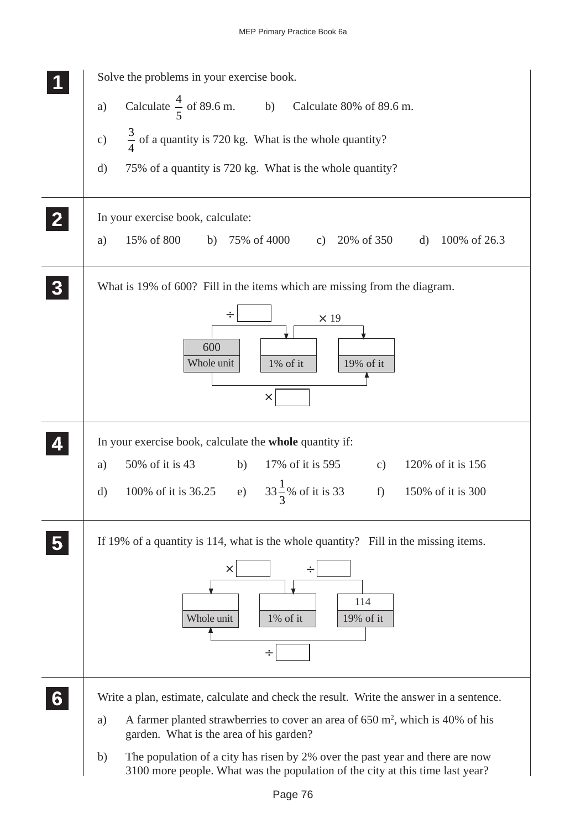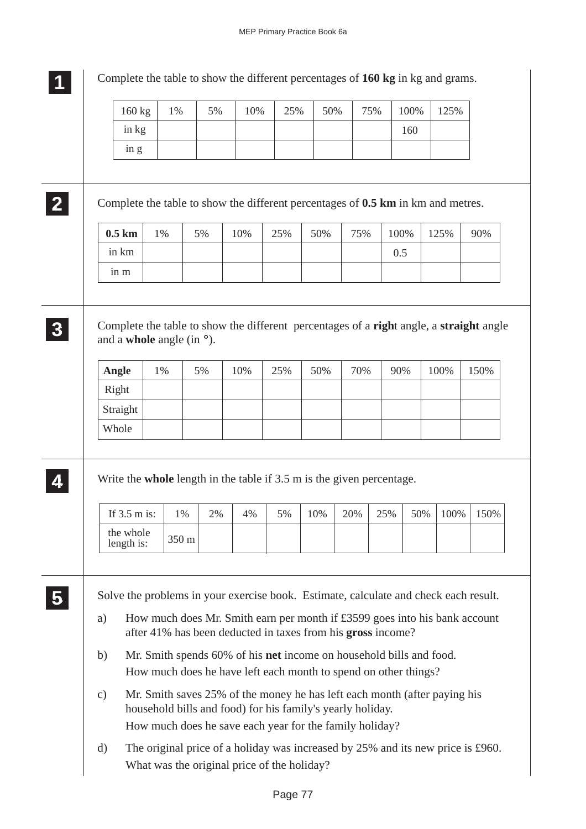| in kg<br>160<br>in g<br>Complete the table to show the different percentages of 0.5 km in km and metres.<br>$0.5$ km<br>50%<br>100%<br>1%<br>5%<br>10%<br>25%<br>75%<br>125%<br>in km<br>0.5<br>in m<br>Complete the table to show the different percentages of a right angle, a straight angle<br>and a <b>whole</b> angle (in $\circ$ ).<br>Angle<br>1%<br>5%<br>10%<br>25%<br>50%<br>70%<br>90%<br>100%<br>Right<br>Straight<br>Whole<br>Write the whole length in the table if $3.5$ m is the given percentage.<br>100%<br>10%<br>20%<br>25%<br>50%<br>If $3.5$ m is:<br>2%<br>$1\%$<br>4%<br>5%<br>the whole<br>350 m<br>length is:<br>Solve the problems in your exercise book. Estimate, calculate and check each result.<br>How much does Mr. Smith earn per month if £3599 goes into his bank account<br>a)<br>after 41% has been deducted in taxes from his gross income?<br>Mr. Smith spends 60% of his net income on household bills and food.<br>b)<br>How much does he have left each month to spend on other things?<br>Mr. Smith saves 25% of the money he has left each month (after paying his<br>$\mathbf{c})$<br>household bills and food) for his family's yearly holiday.<br>How much does he save each year for the family holiday?<br>The original price of a holiday was increased by 25% and its new price is £960.<br>$\rm d)$ | 160 kg | 1% | 5% | 10% | 25% | 50% | 75% | 100% | 125% |      |
|-----------------------------------------------------------------------------------------------------------------------------------------------------------------------------------------------------------------------------------------------------------------------------------------------------------------------------------------------------------------------------------------------------------------------------------------------------------------------------------------------------------------------------------------------------------------------------------------------------------------------------------------------------------------------------------------------------------------------------------------------------------------------------------------------------------------------------------------------------------------------------------------------------------------------------------------------------------------------------------------------------------------------------------------------------------------------------------------------------------------------------------------------------------------------------------------------------------------------------------------------------------------------------------------------------------------------------------------------------------|--------|----|----|-----|-----|-----|-----|------|------|------|
|                                                                                                                                                                                                                                                                                                                                                                                                                                                                                                                                                                                                                                                                                                                                                                                                                                                                                                                                                                                                                                                                                                                                                                                                                                                                                                                                                           |        |    |    |     |     |     |     |      |      |      |
|                                                                                                                                                                                                                                                                                                                                                                                                                                                                                                                                                                                                                                                                                                                                                                                                                                                                                                                                                                                                                                                                                                                                                                                                                                                                                                                                                           |        |    |    |     |     |     |     |      |      |      |
|                                                                                                                                                                                                                                                                                                                                                                                                                                                                                                                                                                                                                                                                                                                                                                                                                                                                                                                                                                                                                                                                                                                                                                                                                                                                                                                                                           |        |    |    |     |     |     |     |      |      |      |
|                                                                                                                                                                                                                                                                                                                                                                                                                                                                                                                                                                                                                                                                                                                                                                                                                                                                                                                                                                                                                                                                                                                                                                                                                                                                                                                                                           |        |    |    |     |     |     |     |      |      |      |
|                                                                                                                                                                                                                                                                                                                                                                                                                                                                                                                                                                                                                                                                                                                                                                                                                                                                                                                                                                                                                                                                                                                                                                                                                                                                                                                                                           |        |    |    |     |     |     |     |      |      |      |
|                                                                                                                                                                                                                                                                                                                                                                                                                                                                                                                                                                                                                                                                                                                                                                                                                                                                                                                                                                                                                                                                                                                                                                                                                                                                                                                                                           |        |    |    |     |     |     |     |      |      | 90%  |
|                                                                                                                                                                                                                                                                                                                                                                                                                                                                                                                                                                                                                                                                                                                                                                                                                                                                                                                                                                                                                                                                                                                                                                                                                                                                                                                                                           |        |    |    |     |     |     |     |      |      |      |
|                                                                                                                                                                                                                                                                                                                                                                                                                                                                                                                                                                                                                                                                                                                                                                                                                                                                                                                                                                                                                                                                                                                                                                                                                                                                                                                                                           |        |    |    |     |     |     |     |      |      |      |
|                                                                                                                                                                                                                                                                                                                                                                                                                                                                                                                                                                                                                                                                                                                                                                                                                                                                                                                                                                                                                                                                                                                                                                                                                                                                                                                                                           |        |    |    |     |     |     |     |      |      |      |
|                                                                                                                                                                                                                                                                                                                                                                                                                                                                                                                                                                                                                                                                                                                                                                                                                                                                                                                                                                                                                                                                                                                                                                                                                                                                                                                                                           |        |    |    |     |     |     |     |      |      |      |
|                                                                                                                                                                                                                                                                                                                                                                                                                                                                                                                                                                                                                                                                                                                                                                                                                                                                                                                                                                                                                                                                                                                                                                                                                                                                                                                                                           |        |    |    |     |     |     |     |      |      |      |
|                                                                                                                                                                                                                                                                                                                                                                                                                                                                                                                                                                                                                                                                                                                                                                                                                                                                                                                                                                                                                                                                                                                                                                                                                                                                                                                                                           |        |    |    |     |     |     |     |      |      |      |
|                                                                                                                                                                                                                                                                                                                                                                                                                                                                                                                                                                                                                                                                                                                                                                                                                                                                                                                                                                                                                                                                                                                                                                                                                                                                                                                                                           |        |    |    |     |     |     |     |      |      |      |
|                                                                                                                                                                                                                                                                                                                                                                                                                                                                                                                                                                                                                                                                                                                                                                                                                                                                                                                                                                                                                                                                                                                                                                                                                                                                                                                                                           |        |    |    |     |     |     |     |      |      | 150% |
|                                                                                                                                                                                                                                                                                                                                                                                                                                                                                                                                                                                                                                                                                                                                                                                                                                                                                                                                                                                                                                                                                                                                                                                                                                                                                                                                                           |        |    |    |     |     |     |     |      |      |      |
|                                                                                                                                                                                                                                                                                                                                                                                                                                                                                                                                                                                                                                                                                                                                                                                                                                                                                                                                                                                                                                                                                                                                                                                                                                                                                                                                                           |        |    |    |     |     |     |     |      |      |      |
|                                                                                                                                                                                                                                                                                                                                                                                                                                                                                                                                                                                                                                                                                                                                                                                                                                                                                                                                                                                                                                                                                                                                                                                                                                                                                                                                                           |        |    |    |     |     |     |     |      |      |      |
|                                                                                                                                                                                                                                                                                                                                                                                                                                                                                                                                                                                                                                                                                                                                                                                                                                                                                                                                                                                                                                                                                                                                                                                                                                                                                                                                                           |        |    |    |     |     |     |     |      |      |      |
|                                                                                                                                                                                                                                                                                                                                                                                                                                                                                                                                                                                                                                                                                                                                                                                                                                                                                                                                                                                                                                                                                                                                                                                                                                                                                                                                                           |        |    |    |     |     |     |     |      |      |      |
|                                                                                                                                                                                                                                                                                                                                                                                                                                                                                                                                                                                                                                                                                                                                                                                                                                                                                                                                                                                                                                                                                                                                                                                                                                                                                                                                                           |        |    |    |     |     |     |     |      |      |      |
|                                                                                                                                                                                                                                                                                                                                                                                                                                                                                                                                                                                                                                                                                                                                                                                                                                                                                                                                                                                                                                                                                                                                                                                                                                                                                                                                                           |        |    |    |     |     |     |     |      |      |      |
|                                                                                                                                                                                                                                                                                                                                                                                                                                                                                                                                                                                                                                                                                                                                                                                                                                                                                                                                                                                                                                                                                                                                                                                                                                                                                                                                                           |        |    |    |     |     |     |     |      |      |      |
|                                                                                                                                                                                                                                                                                                                                                                                                                                                                                                                                                                                                                                                                                                                                                                                                                                                                                                                                                                                                                                                                                                                                                                                                                                                                                                                                                           |        |    |    |     |     |     |     |      |      |      |
|                                                                                                                                                                                                                                                                                                                                                                                                                                                                                                                                                                                                                                                                                                                                                                                                                                                                                                                                                                                                                                                                                                                                                                                                                                                                                                                                                           |        |    |    |     |     |     |     |      |      |      |
|                                                                                                                                                                                                                                                                                                                                                                                                                                                                                                                                                                                                                                                                                                                                                                                                                                                                                                                                                                                                                                                                                                                                                                                                                                                                                                                                                           |        |    |    |     |     |     |     |      |      |      |
|                                                                                                                                                                                                                                                                                                                                                                                                                                                                                                                                                                                                                                                                                                                                                                                                                                                                                                                                                                                                                                                                                                                                                                                                                                                                                                                                                           |        |    |    |     |     |     |     |      |      |      |
|                                                                                                                                                                                                                                                                                                                                                                                                                                                                                                                                                                                                                                                                                                                                                                                                                                                                                                                                                                                                                                                                                                                                                                                                                                                                                                                                                           |        |    |    |     |     |     |     |      |      |      |
|                                                                                                                                                                                                                                                                                                                                                                                                                                                                                                                                                                                                                                                                                                                                                                                                                                                                                                                                                                                                                                                                                                                                                                                                                                                                                                                                                           |        |    |    |     |     |     |     |      |      |      |
|                                                                                                                                                                                                                                                                                                                                                                                                                                                                                                                                                                                                                                                                                                                                                                                                                                                                                                                                                                                                                                                                                                                                                                                                                                                                                                                                                           |        |    |    |     |     |     |     |      |      |      |
|                                                                                                                                                                                                                                                                                                                                                                                                                                                                                                                                                                                                                                                                                                                                                                                                                                                                                                                                                                                                                                                                                                                                                                                                                                                                                                                                                           |        |    |    |     |     |     |     |      |      | 150% |
|                                                                                                                                                                                                                                                                                                                                                                                                                                                                                                                                                                                                                                                                                                                                                                                                                                                                                                                                                                                                                                                                                                                                                                                                                                                                                                                                                           |        |    |    |     |     |     |     |      |      |      |
|                                                                                                                                                                                                                                                                                                                                                                                                                                                                                                                                                                                                                                                                                                                                                                                                                                                                                                                                                                                                                                                                                                                                                                                                                                                                                                                                                           |        |    |    |     |     |     |     |      |      |      |
|                                                                                                                                                                                                                                                                                                                                                                                                                                                                                                                                                                                                                                                                                                                                                                                                                                                                                                                                                                                                                                                                                                                                                                                                                                                                                                                                                           |        |    |    |     |     |     |     |      |      |      |
|                                                                                                                                                                                                                                                                                                                                                                                                                                                                                                                                                                                                                                                                                                                                                                                                                                                                                                                                                                                                                                                                                                                                                                                                                                                                                                                                                           |        |    |    |     |     |     |     |      |      |      |
|                                                                                                                                                                                                                                                                                                                                                                                                                                                                                                                                                                                                                                                                                                                                                                                                                                                                                                                                                                                                                                                                                                                                                                                                                                                                                                                                                           |        |    |    |     |     |     |     |      |      |      |
|                                                                                                                                                                                                                                                                                                                                                                                                                                                                                                                                                                                                                                                                                                                                                                                                                                                                                                                                                                                                                                                                                                                                                                                                                                                                                                                                                           |        |    |    |     |     |     |     |      |      |      |
|                                                                                                                                                                                                                                                                                                                                                                                                                                                                                                                                                                                                                                                                                                                                                                                                                                                                                                                                                                                                                                                                                                                                                                                                                                                                                                                                                           |        |    |    |     |     |     |     |      |      |      |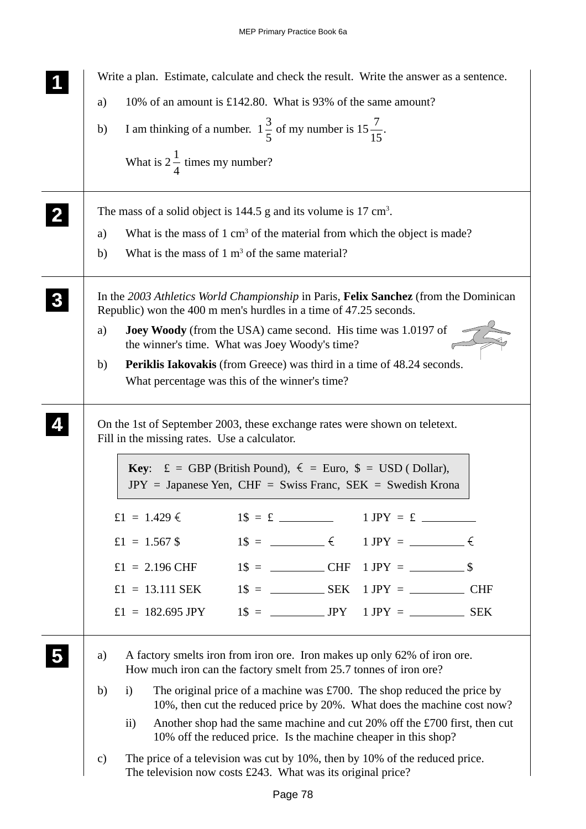Write a plan. Estimate, calculate and check the result. Write the answer as a sentence. a) 10% of an amount is £142.80. What is 93% of the same amount? b) I am thinking of a number.  $1\frac{3}{5}$ 5 of my number is  $15\frac{7}{15}$ . What is  $2\frac{1}{4}$ 4 times my number? The mass of a solid object is  $144.5$  g and its volume is  $17 \text{ cm}^3$ . a) What is the mass of  $1 \text{ cm}^3$  of the material from which the object is made? b) What is the mass of  $1 \text{ m}^3$  of the same material? In the *2003 Athletics World Championship* in Paris, **Felix Sanchez** (from the Dominican Republic) won the 400 m men's hurdles in a time of 47.25 seconds. a) **Joey Woody** (from the USA) came second. His time was 1.0197 of the winner's time. What was Joey Woody's time? b) **Periklis Iakovakis** (from Greece) was third in a time of 48.24 seconds. What percentage was this of the winner's time? On the 1st of September 2003, these exchange rates were shown on teletext. Fill in the missing rates. Use a calculator. **Key:**  $\pounds = \text{GBP}$  (British Pound),  $\epsilon = \text{Euro}$ ,  $\hat{\pmb{\xi}} = \text{USD}$  ( Dollar),  $JPY = Japanese$  Yen,  $CHF = Swiss$  Franc,  $SEK = Swedish$  Krona  $f1 = 1.429 \t{5}$   $1\text{ s} = f$   $1 \text{ JPY} = f$ £1 = 1.567 \$ 1\$ =  $\in$  1 JPY =  $\in$ £1 = 2.196 CHF 1\$ = CHF 1 JPY = \$ £1 = 13.111 SEK 1\$ =  $S$ EK 1 JPY =  $C$ HF  $£1 = 182.695$  JPY  $1\text{S} =$  JPY  $1$  JPY  $=$  SEK a) A factory smelts iron from iron ore. Iron makes up only 62% of iron ore. How much iron can the factory smelt from 25.7 tonnes of iron ore? b) i) The original price of a machine was £700. The shop reduced the price by 10%, then cut the reduced price by 20%. What does the machine cost now? ii) Another shop had the same machine and cut 20% off the £700 first, then cut 10% off the reduced price. Is the machine cheaper in this shop? c) The price of a television was cut by 10%, then by 10% of the reduced price. The television now costs £243. What was its original price? **1 11 11 2 22 22 3 33 33 33 4 44 44 5 55 55**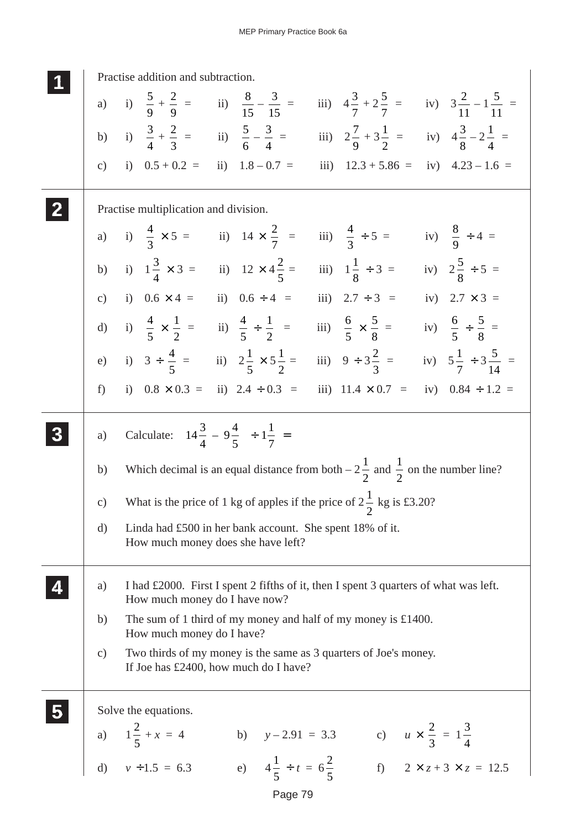|               | Practise addition and subtraction.                                                                                                                         |
|---------------|------------------------------------------------------------------------------------------------------------------------------------------------------------|
|               | a) i) $\frac{5}{9} + \frac{2}{9} =$ ii) $\frac{8}{15} - \frac{3}{15} =$ iii) $4\frac{3}{7} + 2\frac{5}{7} =$ iv) $3\frac{2}{11} - 1\frac{5}{11} =$         |
|               | b) i) $\frac{3}{4} + \frac{2}{3} =$ ii) $\frac{5}{6} - \frac{3}{4} =$ iii) $2\frac{7}{9} + 3\frac{1}{2} =$ iv) $4\frac{3}{8} - 2\frac{1}{4} =$             |
| $\mathbf{c})$ | i) $0.5 + 0.2 =$ ii) $1.8 - 0.7 =$<br>iii) $12.3 + 5.86 =$ iv) $4.23 - 1.6 =$                                                                              |
|               | Practise multiplication and division.                                                                                                                      |
|               | a) i) $\frac{4}{3} \times 5 =$ ii) $14 \times \frac{2}{7} =$ iii) $\frac{4}{3} \div 5 =$ iv) $\frac{8}{9} \div 4 =$                                        |
|               | b) i) $1\frac{3}{4} \times 3 =$ ii) $12 \times 4\frac{2}{5} =$ iii) $1\frac{1}{8} \div 3 =$ iv) $2\frac{5}{8} \div 5 =$                                    |
|               | c) i) $0.6 \times 4 =$ ii) $0.6 \div 4 =$<br>iii) $2.7 \div 3 =$<br>iv) $2.7 \times 3 =$                                                                   |
|               | d) i) $\frac{4}{5} \times \frac{1}{2} =$ ii) $\frac{4}{5} \div \frac{1}{2} =$ iii) $\frac{6}{5} \times \frac{5}{8} =$ iv) $\frac{6}{5} \div \frac{5}{8} =$ |
|               | e) i) $3 \div \frac{4}{5} =$ ii) $2\frac{1}{5} \times 5\frac{1}{2} =$ iii) $9 \div 3\frac{2}{3} =$ iv) $5\frac{1}{7} \div 3\frac{5}{14} =$                 |
| f             | i) $0.8 \times 0.3 =$ ii) $2.4 \div 0.3 =$<br>iii) $11.4 \times 0.7 =$<br>iv) $0.84 \div 1.2 =$                                                            |
| a)            | Calculate: $\left(14\frac{3}{4} - 9\frac{4}{5}\right) \div 1\frac{1}{7}$ =                                                                                 |
| b)            | Which decimal is an equal distance from both $-2\frac{1}{2}$ and $\frac{1}{2}$ on the number line?                                                         |
|               | c) What is the price of 1 kg of apples if the price of $2\frac{1}{2}$ kg is £3.20?                                                                         |
| d)            | Linda had £500 in her bank account. She spent 18% of it.<br>How much money does she have left?                                                             |
| a)            | I had £2000. First I spent 2 fifths of it, then I spent 3 quarters of what was left.<br>How much money do I have now?                                      |
| b)            | The sum of 1 third of my money and half of my money is £1400.<br>How much money do I have?                                                                 |
| $\mathbf{c})$ | Two thirds of my money is the same as 3 quarters of Joe's money.<br>If Joe has £2400, how much do I have?                                                  |
|               | Solve the equations.                                                                                                                                       |
|               | a) $1\frac{2}{5} + x = 4$<br>b) $y-2.91 = 3.3$ c) $u \times \frac{2}{3} = 1\frac{3}{4}$                                                                    |
|               | d) $v \div 1.5 = 6.3$<br>e) $4\frac{1}{5} \div t = 6\frac{2}{5}$<br>f) $2 \times z + 3 \times z = 12.5$                                                    |

Page 79